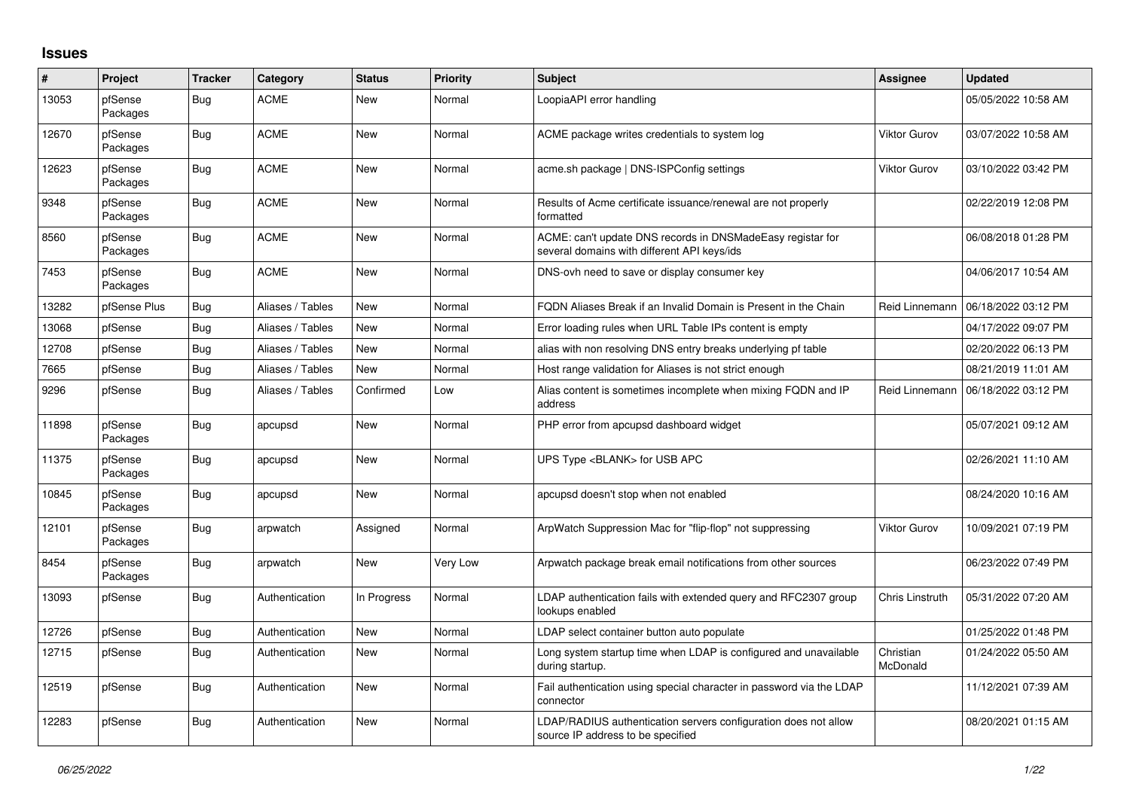## **Issues**

| #     | Project             | <b>Tracker</b> | Category         | <b>Status</b> | <b>Priority</b> | <b>Subject</b>                                                                                            | <b>Assignee</b>        | <b>Updated</b>      |
|-------|---------------------|----------------|------------------|---------------|-----------------|-----------------------------------------------------------------------------------------------------------|------------------------|---------------------|
| 13053 | pfSense<br>Packages | <b>Bug</b>     | <b>ACME</b>      | New           | Normal          | LoopiaAPI error handling                                                                                  |                        | 05/05/2022 10:58 AM |
| 12670 | pfSense<br>Packages | <b>Bug</b>     | <b>ACME</b>      | <b>New</b>    | Normal          | ACME package writes credentials to system log                                                             | <b>Viktor Gurov</b>    | 03/07/2022 10:58 AM |
| 12623 | pfSense<br>Packages | <b>Bug</b>     | <b>ACME</b>      | New           | Normal          | acme.sh package   DNS-ISPConfig settings                                                                  | <b>Viktor Gurov</b>    | 03/10/2022 03:42 PM |
| 9348  | pfSense<br>Packages | <b>Bug</b>     | <b>ACME</b>      | New           | Normal          | Results of Acme certificate issuance/renewal are not properly<br>formatted                                |                        | 02/22/2019 12:08 PM |
| 8560  | pfSense<br>Packages | <b>Bug</b>     | <b>ACME</b>      | <b>New</b>    | Normal          | ACME: can't update DNS records in DNSMadeEasy registar for<br>several domains with different API keys/ids |                        | 06/08/2018 01:28 PM |
| 7453  | pfSense<br>Packages | Bug            | <b>ACME</b>      | New           | Normal          | DNS-ovh need to save or display consumer key                                                              |                        | 04/06/2017 10:54 AM |
| 13282 | pfSense Plus        | <b>Bug</b>     | Aliases / Tables | New           | Normal          | FQDN Aliases Break if an Invalid Domain is Present in the Chain                                           | Reid Linnemann         | 06/18/2022 03:12 PM |
| 13068 | pfSense             | <b>Bug</b>     | Aliases / Tables | <b>New</b>    | Normal          | Error loading rules when URL Table IPs content is empty                                                   |                        | 04/17/2022 09:07 PM |
| 12708 | pfSense             | <b>Bug</b>     | Aliases / Tables | New           | Normal          | alias with non resolving DNS entry breaks underlying pf table                                             |                        | 02/20/2022 06:13 PM |
| 7665  | pfSense             | <b>Bug</b>     | Aliases / Tables | New           | Normal          | Host range validation for Aliases is not strict enough                                                    |                        | 08/21/2019 11:01 AM |
| 9296  | pfSense             | <b>Bug</b>     | Aliases / Tables | Confirmed     | Low             | Alias content is sometimes incomplete when mixing FQDN and IP<br>address                                  | Reid Linnemann         | 06/18/2022 03:12 PM |
| 11898 | pfSense<br>Packages | <b>Bug</b>     | apcupsd          | <b>New</b>    | Normal          | PHP error from apcupsd dashboard widget                                                                   |                        | 05/07/2021 09:12 AM |
| 11375 | pfSense<br>Packages | <b>Bug</b>     | apcupsd          | New           | Normal          | UPS Type <blank> for USB APC</blank>                                                                      |                        | 02/26/2021 11:10 AM |
| 10845 | pfSense<br>Packages | <b>Bug</b>     | apcupsd          | <b>New</b>    | Normal          | apcupsd doesn't stop when not enabled                                                                     |                        | 08/24/2020 10:16 AM |
| 12101 | pfSense<br>Packages | <b>Bug</b>     | arpwatch         | Assigned      | Normal          | ArpWatch Suppression Mac for "flip-flop" not suppressing                                                  | Viktor Gurov           | 10/09/2021 07:19 PM |
| 8454  | pfSense<br>Packages | <b>Bug</b>     | arpwatch         | New           | Very Low        | Arpwatch package break email notifications from other sources                                             |                        | 06/23/2022 07:49 PM |
| 13093 | pfSense             | <b>Bug</b>     | Authentication   | In Progress   | Normal          | LDAP authentication fails with extended query and RFC2307 group<br>lookups enabled                        | <b>Chris Linstruth</b> | 05/31/2022 07:20 AM |
| 12726 | pfSense             | Bug            | Authentication   | <b>New</b>    | Normal          | LDAP select container button auto populate                                                                |                        | 01/25/2022 01:48 PM |
| 12715 | pfSense             | <b>Bug</b>     | Authentication   | New           | Normal          | Long system startup time when LDAP is configured and unavailable<br>during startup.                       | Christian<br>McDonald  | 01/24/2022 05:50 AM |
| 12519 | pfSense             | <b>Bug</b>     | Authentication   | <b>New</b>    | Normal          | Fail authentication using special character in password via the LDAP<br>connector                         |                        | 11/12/2021 07:39 AM |
| 12283 | pfSense             | <b>Bug</b>     | Authentication   | <b>New</b>    | Normal          | LDAP/RADIUS authentication servers configuration does not allow<br>source IP address to be specified      |                        | 08/20/2021 01:15 AM |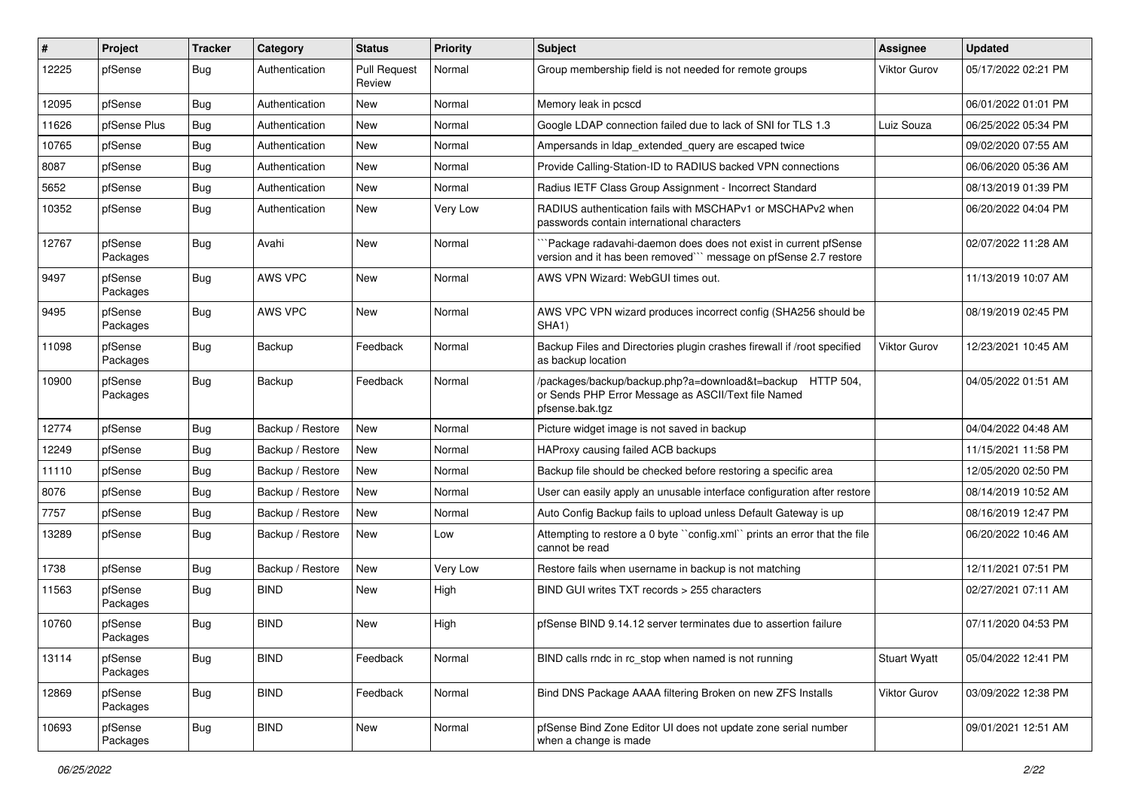| #     | Project             | <b>Tracker</b> | Category         | <b>Status</b>                 | Priority | <b>Subject</b>                                                                                                                      | <b>Assignee</b>     | <b>Updated</b>      |
|-------|---------------------|----------------|------------------|-------------------------------|----------|-------------------------------------------------------------------------------------------------------------------------------------|---------------------|---------------------|
| 12225 | pfSense             | Bug            | Authentication   | <b>Pull Request</b><br>Review | Normal   | Group membership field is not needed for remote groups                                                                              | <b>Viktor Gurov</b> | 05/17/2022 02:21 PM |
| 12095 | pfSense             | <b>Bug</b>     | Authentication   | <b>New</b>                    | Normal   | Memory leak in pcscd                                                                                                                |                     | 06/01/2022 01:01 PM |
| 11626 | pfSense Plus        | <b>Bug</b>     | Authentication   | <b>New</b>                    | Normal   | Google LDAP connection failed due to lack of SNI for TLS 1.3                                                                        | Luiz Souza          | 06/25/2022 05:34 PM |
| 10765 | pfSense             | <b>Bug</b>     | Authentication   | <b>New</b>                    | Normal   | Ampersands in Idap extended query are escaped twice                                                                                 |                     | 09/02/2020 07:55 AM |
| 8087  | pfSense             | <b>Bug</b>     | Authentication   | <b>New</b>                    | Normal   | Provide Calling-Station-ID to RADIUS backed VPN connections                                                                         |                     | 06/06/2020 05:36 AM |
| 5652  | pfSense             | <b>Bug</b>     | Authentication   | <b>New</b>                    | Normal   | Radius IETF Class Group Assignment - Incorrect Standard                                                                             |                     | 08/13/2019 01:39 PM |
| 10352 | pfSense             | Bug            | Authentication   | <b>New</b>                    | Very Low | RADIUS authentication fails with MSCHAPv1 or MSCHAPv2 when<br>passwords contain international characters                            |                     | 06/20/2022 04:04 PM |
| 12767 | pfSense<br>Packages | <b>Bug</b>     | Avahi            | <b>New</b>                    | Normal   | Package radavahi-daemon does does not exist in current pfSense<br>version and it has been removed"" message on pfSense 2.7 restore  |                     | 02/07/2022 11:28 AM |
| 9497  | pfSense<br>Packages | <b>Bug</b>     | AWS VPC          | <b>New</b>                    | Normal   | AWS VPN Wizard: WebGUI times out.                                                                                                   |                     | 11/13/2019 10:07 AM |
| 9495  | pfSense<br>Packages | <b>Bug</b>     | AWS VPC          | <b>New</b>                    | Normal   | AWS VPC VPN wizard produces incorrect config (SHA256 should be<br>SHA <sub>1</sub> )                                                |                     | 08/19/2019 02:45 PM |
| 11098 | pfSense<br>Packages | <b>Bug</b>     | Backup           | Feedback                      | Normal   | Backup Files and Directories plugin crashes firewall if /root specified<br>as backup location                                       | <b>Viktor Gurov</b> | 12/23/2021 10:45 AM |
| 10900 | pfSense<br>Packages | Bug            | Backup           | Feedback                      | Normal   | /packages/backup/backup.php?a=download&t=backup HTTP 504,<br>or Sends PHP Error Message as ASCII/Text file Named<br>pfsense.bak.tgz |                     | 04/05/2022 01:51 AM |
| 12774 | pfSense             | <b>Bug</b>     | Backup / Restore | <b>New</b>                    | Normal   | Picture widget image is not saved in backup                                                                                         |                     | 04/04/2022 04:48 AM |
| 12249 | pfSense             | <b>Bug</b>     | Backup / Restore | <b>New</b>                    | Normal   | HAProxy causing failed ACB backups                                                                                                  |                     | 11/15/2021 11:58 PM |
| 11110 | pfSense             | <b>Bug</b>     | Backup / Restore | <b>New</b>                    | Normal   | Backup file should be checked before restoring a specific area                                                                      |                     | 12/05/2020 02:50 PM |
| 8076  | pfSense             | <b>Bug</b>     | Backup / Restore | New                           | Normal   | User can easily apply an unusable interface configuration after restore                                                             |                     | 08/14/2019 10:52 AM |
| 7757  | pfSense             | <b>Bug</b>     | Backup / Restore | <b>New</b>                    | Normal   | Auto Config Backup fails to upload unless Default Gateway is up                                                                     |                     | 08/16/2019 12:47 PM |
| 13289 | pfSense             | <b>Bug</b>     | Backup / Restore | New                           | Low      | Attempting to restore a 0 byte "config.xml" prints an error that the file<br>cannot be read                                         |                     | 06/20/2022 10:46 AM |
| 1738  | pfSense             | <b>Bug</b>     | Backup / Restore | New                           | Very Low | Restore fails when username in backup is not matching                                                                               |                     | 12/11/2021 07:51 PM |
| 11563 | pfSense<br>Packages | <b>Bug</b>     | <b>BIND</b>      | <b>New</b>                    | High     | BIND GUI writes TXT records > 255 characters                                                                                        |                     | 02/27/2021 07:11 AM |
| 10760 | pfSense<br>Packages | <b>Bug</b>     | <b>BIND</b>      | <b>New</b>                    | High     | pfSense BIND 9.14.12 server terminates due to assertion failure                                                                     |                     | 07/11/2020 04:53 PM |
| 13114 | pfSense<br>Packages | <b>Bug</b>     | <b>BIND</b>      | Feedback                      | Normal   | BIND calls rndc in rc stop when named is not running                                                                                | <b>Stuart Wyatt</b> | 05/04/2022 12:41 PM |
| 12869 | pfSense<br>Packages | Bug            | <b>BIND</b>      | Feedback                      | Normal   | Bind DNS Package AAAA filtering Broken on new ZFS Installs                                                                          | Viktor Gurov        | 03/09/2022 12:38 PM |
| 10693 | pfSense<br>Packages | <b>Bug</b>     | <b>BIND</b>      | New                           | Normal   | pfSense Bind Zone Editor UI does not update zone serial number<br>when a change is made                                             |                     | 09/01/2021 12:51 AM |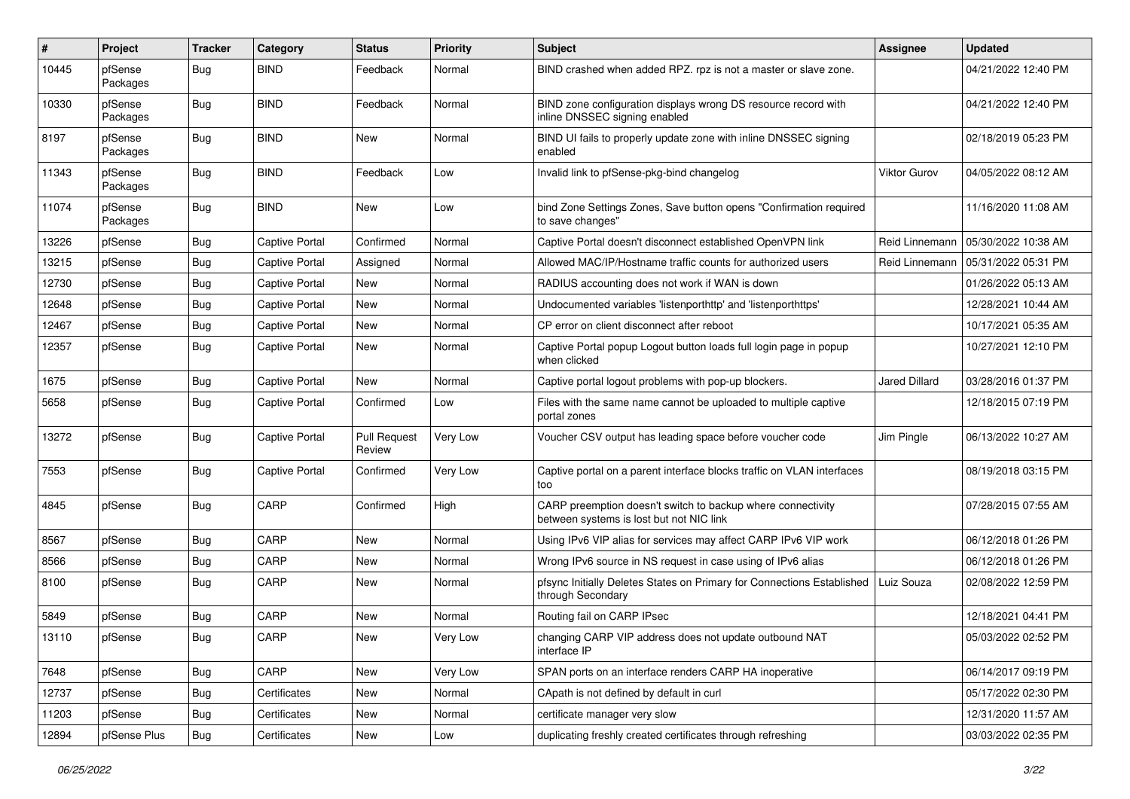| #     | Project             | <b>Tracker</b> | Category              | <b>Status</b>                 | <b>Priority</b> | <b>Subject</b>                                                                                          | <b>Assignee</b> | <b>Updated</b>      |
|-------|---------------------|----------------|-----------------------|-------------------------------|-----------------|---------------------------------------------------------------------------------------------------------|-----------------|---------------------|
| 10445 | pfSense<br>Packages | <b>Bug</b>     | <b>BIND</b>           | Feedback                      | Normal          | BIND crashed when added RPZ. rpz is not a master or slave zone.                                         |                 | 04/21/2022 12:40 PM |
| 10330 | pfSense<br>Packages | <b>Bug</b>     | <b>BIND</b>           | Feedback                      | Normal          | BIND zone configuration displays wrong DS resource record with<br>inline DNSSEC signing enabled         |                 | 04/21/2022 12:40 PM |
| 8197  | pfSense<br>Packages | Bug            | <b>BIND</b>           | <b>New</b>                    | Normal          | BIND UI fails to properly update zone with inline DNSSEC signing<br>enabled                             |                 | 02/18/2019 05:23 PM |
| 11343 | pfSense<br>Packages | <b>Bug</b>     | <b>BIND</b>           | Feedback                      | Low             | Invalid link to pfSense-pkg-bind changelog                                                              | Viktor Gurov    | 04/05/2022 08:12 AM |
| 11074 | pfSense<br>Packages | <b>Bug</b>     | <b>BIND</b>           | <b>New</b>                    | Low             | bind Zone Settings Zones, Save button opens "Confirmation required<br>to save changes"                  |                 | 11/16/2020 11:08 AM |
| 13226 | pfSense             | Bug            | Captive Portal        | Confirmed                     | Normal          | Captive Portal doesn't disconnect established OpenVPN link                                              | Reid Linnemann  | 05/30/2022 10:38 AM |
| 13215 | pfSense             | <b>Bug</b>     | Captive Portal        | Assigned                      | Normal          | Allowed MAC/IP/Hostname traffic counts for authorized users                                             | Reid Linnemann  | 05/31/2022 05:31 PM |
| 12730 | pfSense             | <b>Bug</b>     | <b>Captive Portal</b> | <b>New</b>                    | Normal          | RADIUS accounting does not work if WAN is down                                                          |                 | 01/26/2022 05:13 AM |
| 12648 | pfSense             | <b>Bug</b>     | Captive Portal        | <b>New</b>                    | Normal          | Undocumented variables 'listenporthttp' and 'listenporthttps'                                           |                 | 12/28/2021 10:44 AM |
| 12467 | pfSense             | <b>Bug</b>     | <b>Captive Portal</b> | <b>New</b>                    | Normal          | CP error on client disconnect after reboot                                                              |                 | 10/17/2021 05:35 AM |
| 12357 | pfSense             | <b>Bug</b>     | <b>Captive Portal</b> | New                           | Normal          | Captive Portal popup Logout button loads full login page in popup<br>when clicked                       |                 | 10/27/2021 12:10 PM |
| 1675  | pfSense             | <b>Bug</b>     | <b>Captive Portal</b> | <b>New</b>                    | Normal          | Captive portal logout problems with pop-up blockers.                                                    | Jared Dillard   | 03/28/2016 01:37 PM |
| 5658  | pfSense             | <b>Bug</b>     | <b>Captive Portal</b> | Confirmed                     | Low             | Files with the same name cannot be uploaded to multiple captive<br>portal zones                         |                 | 12/18/2015 07:19 PM |
| 13272 | pfSense             | <b>Bug</b>     | <b>Captive Portal</b> | <b>Pull Request</b><br>Review | Very Low        | Voucher CSV output has leading space before voucher code                                                | Jim Pingle      | 06/13/2022 10:27 AM |
| 7553  | pfSense             | <b>Bug</b>     | <b>Captive Portal</b> | Confirmed                     | Very Low        | Captive portal on a parent interface blocks traffic on VLAN interfaces<br>too                           |                 | 08/19/2018 03:15 PM |
| 4845  | pfSense             | <b>Bug</b>     | CARP                  | Confirmed                     | High            | CARP preemption doesn't switch to backup where connectivity<br>between systems is lost but not NIC link |                 | 07/28/2015 07:55 AM |
| 8567  | pfSense             | <b>Bug</b>     | CARP                  | New                           | Normal          | Using IPv6 VIP alias for services may affect CARP IPv6 VIP work                                         |                 | 06/12/2018 01:26 PM |
| 8566  | pfSense             | <b>Bug</b>     | <b>CARP</b>           | New                           | Normal          | Wrong IPv6 source in NS request in case using of IPv6 alias                                             |                 | 06/12/2018 01:26 PM |
| 8100  | pfSense             | <b>Bug</b>     | CARP                  | <b>New</b>                    | Normal          | pfsync Initially Deletes States on Primary for Connections Established<br>through Secondary             | Luiz Souza      | 02/08/2022 12:59 PM |
| 5849  | pfSense             | <b>Bug</b>     | CARP                  | <b>New</b>                    | Normal          | Routing fail on CARP IPsec                                                                              |                 | 12/18/2021 04:41 PM |
| 13110 | pfSense             | <b>Bug</b>     | CARP                  | New                           | Very Low        | changing CARP VIP address does not update outbound NAT<br>interface IP                                  |                 | 05/03/2022 02:52 PM |
| 7648  | pfSense             | Bug            | CARP                  | New                           | Very Low        | SPAN ports on an interface renders CARP HA inoperative                                                  |                 | 06/14/2017 09:19 PM |
| 12737 | pfSense             | <b>Bug</b>     | Certificates          | New                           | Normal          | CApath is not defined by default in curl                                                                |                 | 05/17/2022 02:30 PM |
| 11203 | pfSense             | Bug            | Certificates          | New                           | Normal          | certificate manager very slow                                                                           |                 | 12/31/2020 11:57 AM |
| 12894 | pfSense Plus        | <b>Bug</b>     | Certificates          | New                           | Low             | duplicating freshly created certificates through refreshing                                             |                 | 03/03/2022 02:35 PM |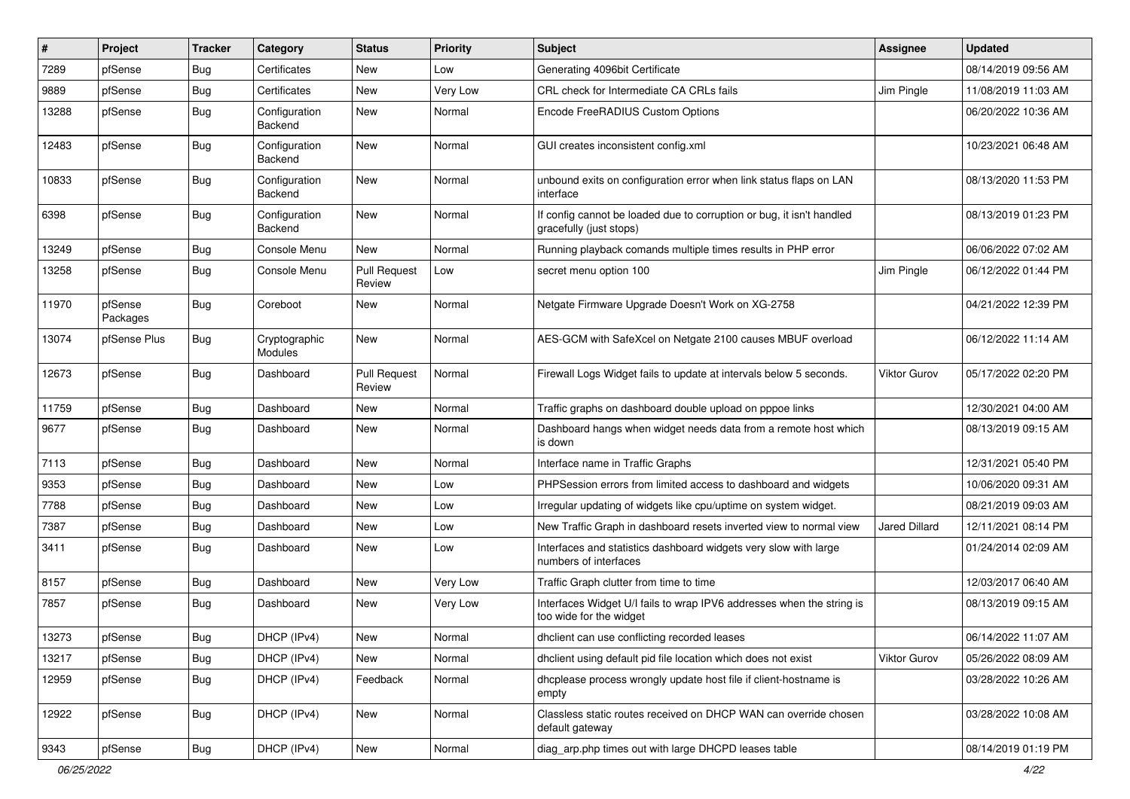| #     | Project             | <b>Tracker</b>   | Category                        | <b>Status</b>                 | <b>Priority</b> | <b>Subject</b>                                                                                   | <b>Assignee</b>      | <b>Updated</b>      |
|-------|---------------------|------------------|---------------------------------|-------------------------------|-----------------|--------------------------------------------------------------------------------------------------|----------------------|---------------------|
| 7289  | pfSense             | <b>Bug</b>       | Certificates                    | <b>New</b>                    | Low             | Generating 4096bit Certificate                                                                   |                      | 08/14/2019 09:56 AM |
| 9889  | pfSense             | <b>Bug</b>       | Certificates                    | <b>New</b>                    | Very Low        | CRL check for Intermediate CA CRLs fails                                                         | Jim Pingle           | 11/08/2019 11:03 AM |
| 13288 | pfSense             | <b>Bug</b>       | Configuration<br>Backend        | New                           | Normal          | Encode FreeRADIUS Custom Options                                                                 |                      | 06/20/2022 10:36 AM |
| 12483 | pfSense             | <b>Bug</b>       | Configuration<br>Backend        | <b>New</b>                    | Normal          | GUI creates inconsistent config.xml                                                              |                      | 10/23/2021 06:48 AM |
| 10833 | pfSense             | <b>Bug</b>       | Configuration<br>Backend        | New                           | Normal          | unbound exits on configuration error when link status flaps on LAN<br>interface                  |                      | 08/13/2020 11:53 PM |
| 6398  | pfSense             | <b>Bug</b>       | Configuration<br>Backend        | New                           | Normal          | If config cannot be loaded due to corruption or bug, it isn't handled<br>gracefully (just stops) |                      | 08/13/2019 01:23 PM |
| 13249 | pfSense             | <b>Bug</b>       | Console Menu                    | New                           | Normal          | Running playback comands multiple times results in PHP error                                     |                      | 06/06/2022 07:02 AM |
| 13258 | pfSense             | <b>Bug</b>       | Console Menu                    | <b>Pull Request</b><br>Review | Low             | secret menu option 100                                                                           | Jim Pingle           | 06/12/2022 01:44 PM |
| 11970 | pfSense<br>Packages | Bug              | Coreboot                        | New                           | Normal          | Netgate Firmware Upgrade Doesn't Work on XG-2758                                                 |                      | 04/21/2022 12:39 PM |
| 13074 | pfSense Plus        | <b>Bug</b>       | Cryptographic<br><b>Modules</b> | <b>New</b>                    | Normal          | AES-GCM with SafeXcel on Netgate 2100 causes MBUF overload                                       |                      | 06/12/2022 11:14 AM |
| 12673 | pfSense             | <b>Bug</b>       | Dashboard                       | <b>Pull Request</b><br>Review | Normal          | Firewall Logs Widget fails to update at intervals below 5 seconds.                               | <b>Viktor Gurov</b>  | 05/17/2022 02:20 PM |
| 11759 | pfSense             | <b>Bug</b>       | Dashboard                       | New                           | Normal          | Traffic graphs on dashboard double upload on pppoe links                                         |                      | 12/30/2021 04:00 AM |
| 9677  | pfSense             | <b>Bug</b>       | Dashboard                       | New                           | Normal          | Dashboard hangs when widget needs data from a remote host which<br>is down                       |                      | 08/13/2019 09:15 AM |
| 7113  | pfSense             | Bug              | Dashboard                       | New                           | Normal          | Interface name in Traffic Graphs                                                                 |                      | 12/31/2021 05:40 PM |
| 9353  | pfSense             | <b>Bug</b>       | Dashboard                       | <b>New</b>                    | Low             | PHPSession errors from limited access to dashboard and widgets                                   |                      | 10/06/2020 09:31 AM |
| 7788  | pfSense             | <b>Bug</b>       | Dashboard                       | New                           | Low             | Irregular updating of widgets like cpu/uptime on system widget.                                  |                      | 08/21/2019 09:03 AM |
| 7387  | pfSense             | <b>Bug</b>       | Dashboard                       | New                           | Low             | New Traffic Graph in dashboard resets inverted view to normal view                               | <b>Jared Dillard</b> | 12/11/2021 08:14 PM |
| 3411  | pfSense             | <b>Bug</b>       | Dashboard                       | <b>New</b>                    | Low             | Interfaces and statistics dashboard widgets very slow with large<br>numbers of interfaces        |                      | 01/24/2014 02:09 AM |
| 8157  | pfSense             | <b>Bug</b>       | Dashboard                       | <b>New</b>                    | Very Low        | Traffic Graph clutter from time to time                                                          |                      | 12/03/2017 06:40 AM |
| 7857  | pfSense             | <b>Bug</b>       | Dashboard                       | New                           | Very Low        | Interfaces Widget U/I fails to wrap IPV6 addresses when the string is<br>too wide for the widget |                      | 08/13/2019 09:15 AM |
| 13273 | pfSense             | <sub>I</sub> Bug | DHCP (IPv4)                     | New                           | Normal          | dhclient can use conflicting recorded leases                                                     |                      | 06/14/2022 11:07 AM |
| 13217 | pfSense             | <b>Bug</b>       | DHCP (IPv4)                     | New                           | Normal          | dholient using default pid file location which does not exist                                    | <b>Viktor Gurov</b>  | 05/26/2022 08:09 AM |
| 12959 | pfSense             | Bug              | DHCP (IPv4)                     | Feedback                      | Normal          | dhcplease process wrongly update host file if client-hostname is<br>empty                        |                      | 03/28/2022 10:26 AM |
| 12922 | pfSense             | <b>Bug</b>       | DHCP (IPv4)                     | New                           | Normal          | Classless static routes received on DHCP WAN can override chosen<br>default gateway              |                      | 03/28/2022 10:08 AM |
| 9343  | pfSense             | Bug              | DHCP (IPv4)                     | New                           | Normal          | diag_arp.php times out with large DHCPD leases table                                             |                      | 08/14/2019 01:19 PM |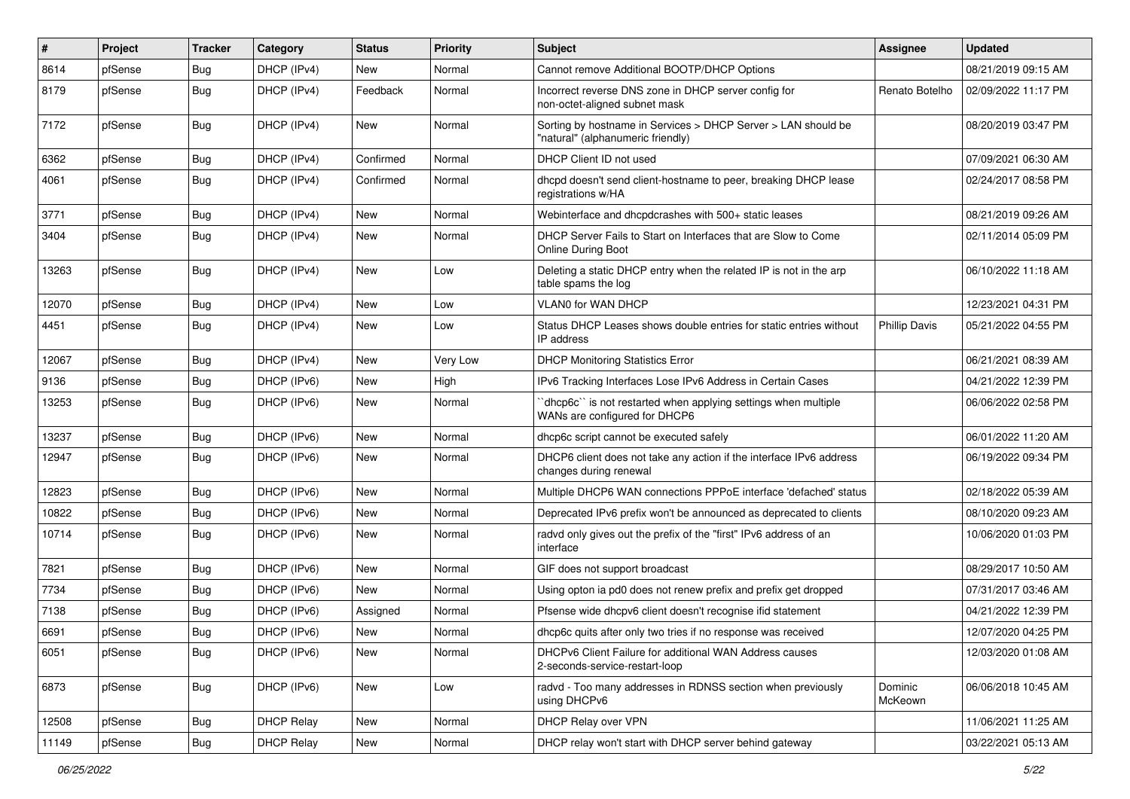| #     | Project | <b>Tracker</b> | Category          | <b>Status</b> | <b>Priority</b> | <b>Subject</b>                                                                                     | Assignee             | <b>Updated</b>      |
|-------|---------|----------------|-------------------|---------------|-----------------|----------------------------------------------------------------------------------------------------|----------------------|---------------------|
| 8614  | pfSense | <b>Bug</b>     | DHCP (IPv4)       | New           | Normal          | Cannot remove Additional BOOTP/DHCP Options                                                        |                      | 08/21/2019 09:15 AM |
| 8179  | pfSense | <b>Bug</b>     | DHCP (IPv4)       | Feedback      | Normal          | Incorrect reverse DNS zone in DHCP server config for<br>non-octet-aligned subnet mask              | Renato Botelho       | 02/09/2022 11:17 PM |
| 7172  | pfSense | <b>Bug</b>     | DHCP (IPv4)       | <b>New</b>    | Normal          | Sorting by hostname in Services > DHCP Server > LAN should be<br>"natural" (alphanumeric friendly) |                      | 08/20/2019 03:47 PM |
| 6362  | pfSense | Bug            | DHCP (IPv4)       | Confirmed     | Normal          | DHCP Client ID not used                                                                            |                      | 07/09/2021 06:30 AM |
| 4061  | pfSense | <b>Bug</b>     | DHCP (IPv4)       | Confirmed     | Normal          | dhcpd doesn't send client-hostname to peer, breaking DHCP lease<br>registrations w/HA              |                      | 02/24/2017 08:58 PM |
| 3771  | pfSense | <b>Bug</b>     | DHCP (IPv4)       | <b>New</b>    | Normal          | Webinterface and dhcpdcrashes with 500+ static leases                                              |                      | 08/21/2019 09:26 AM |
| 3404  | pfSense | Bug            | DHCP (IPv4)       | <b>New</b>    | Normal          | DHCP Server Fails to Start on Interfaces that are Slow to Come<br><b>Online During Boot</b>        |                      | 02/11/2014 05:09 PM |
| 13263 | pfSense | <b>Bug</b>     | DHCP (IPv4)       | New           | Low             | Deleting a static DHCP entry when the related IP is not in the arp<br>table spams the log          |                      | 06/10/2022 11:18 AM |
| 12070 | pfSense | <b>Bug</b>     | DHCP (IPv4)       | New           | Low             | VLAN0 for WAN DHCP                                                                                 |                      | 12/23/2021 04:31 PM |
| 4451  | pfSense | <b>Bug</b>     | DHCP (IPv4)       | <b>New</b>    | Low             | Status DHCP Leases shows double entries for static entries without<br>IP address                   | <b>Phillip Davis</b> | 05/21/2022 04:55 PM |
| 12067 | pfSense | <b>Bug</b>     | DHCP (IPv4)       | New           | Very Low        | <b>DHCP Monitoring Statistics Error</b>                                                            |                      | 06/21/2021 08:39 AM |
| 9136  | pfSense | <b>Bug</b>     | DHCP (IPv6)       | <b>New</b>    | High            | IPv6 Tracking Interfaces Lose IPv6 Address in Certain Cases                                        |                      | 04/21/2022 12:39 PM |
| 13253 | pfSense | Bug            | DHCP (IPv6)       | <b>New</b>    | Normal          | dhcp6c" is not restarted when applying settings when multiple<br>WANs are configured for DHCP6     |                      | 06/06/2022 02:58 PM |
| 13237 | pfSense | <b>Bug</b>     | DHCP (IPv6)       | <b>New</b>    | Normal          | dhcp6c script cannot be executed safely                                                            |                      | 06/01/2022 11:20 AM |
| 12947 | pfSense | Bug            | DHCP (IPv6)       | New           | Normal          | DHCP6 client does not take any action if the interface IPv6 address<br>changes during renewal      |                      | 06/19/2022 09:34 PM |
| 12823 | pfSense | Bug            | DHCP (IPv6)       | <b>New</b>    | Normal          | Multiple DHCP6 WAN connections PPPoE interface 'defached' status                                   |                      | 02/18/2022 05:39 AM |
| 10822 | pfSense | <b>Bug</b>     | DHCP (IPv6)       | New           | Normal          | Deprecated IPv6 prefix won't be announced as deprecated to clients                                 |                      | 08/10/2020 09:23 AM |
| 10714 | pfSense | <b>Bug</b>     | DHCP (IPv6)       | New           | Normal          | radvd only gives out the prefix of the "first" IPv6 address of an<br>interface                     |                      | 10/06/2020 01:03 PM |
| 7821  | pfSense | <b>Bug</b>     | DHCP (IPv6)       | New           | Normal          | GIF does not support broadcast                                                                     |                      | 08/29/2017 10:50 AM |
| 7734  | pfSense | <b>Bug</b>     | DHCP (IPv6)       | <b>New</b>    | Normal          | Using opton ia pd0 does not renew prefix and prefix get dropped                                    |                      | 07/31/2017 03:46 AM |
| 7138  | pfSense | <b>Bug</b>     | DHCP (IPv6)       | Assigned      | Normal          | Pfsense wide dhcpv6 client doesn't recognise ifid statement                                        |                      | 04/21/2022 12:39 PM |
| 6691  | pfSense | Bug            | DHCP (IPv6)       | New           | Normal          | dhcp6c quits after only two tries if no response was received                                      |                      | 12/07/2020 04:25 PM |
| 6051  | pfSense | Bug            | DHCP (IPv6)       | New           | Normal          | DHCPv6 Client Failure for additional WAN Address causes<br>2-seconds-service-restart-loop          |                      | 12/03/2020 01:08 AM |
| 6873  | pfSense | <b>Bug</b>     | DHCP (IPv6)       | New           | Low             | radvd - Too many addresses in RDNSS section when previously<br>using DHCPv6                        | Dominic<br>McKeown   | 06/06/2018 10:45 AM |
| 12508 | pfSense | <b>Bug</b>     | <b>DHCP Relay</b> | New           | Normal          | DHCP Relay over VPN                                                                                |                      | 11/06/2021 11:25 AM |
| 11149 | pfSense | <b>Bug</b>     | <b>DHCP Relay</b> | New           | Normal          | DHCP relay won't start with DHCP server behind gateway                                             |                      | 03/22/2021 05:13 AM |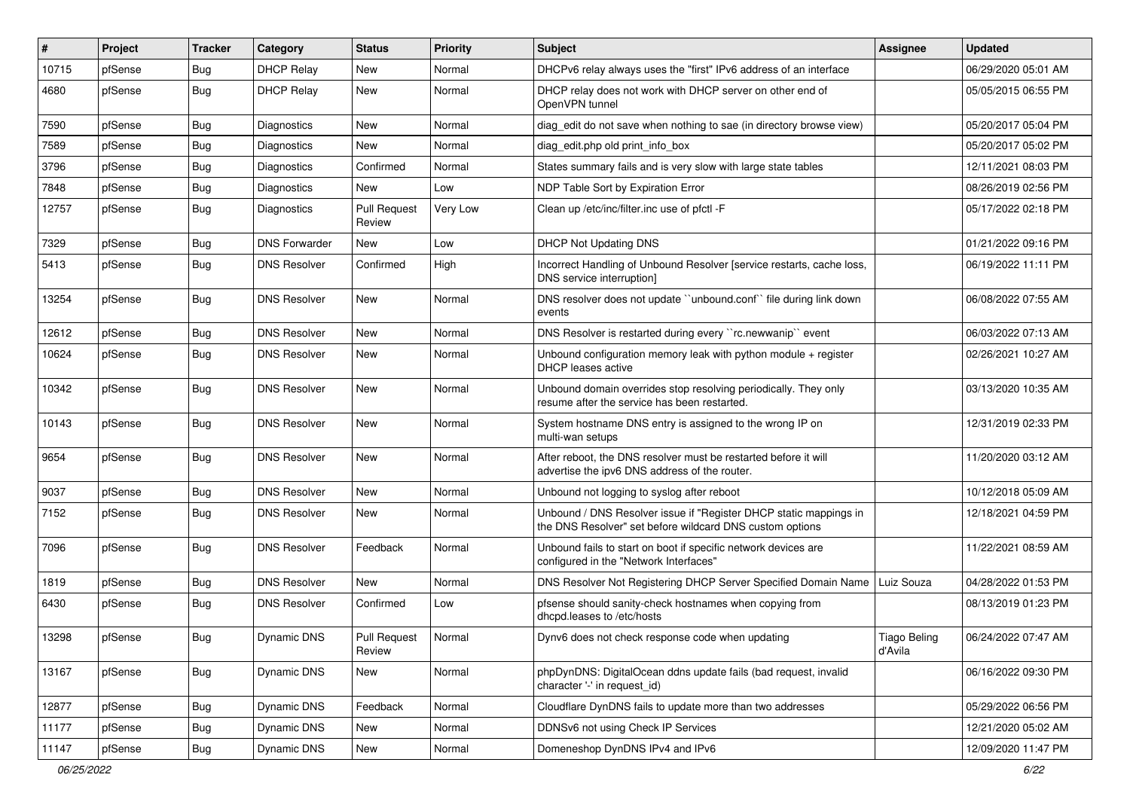| #     | Project | <b>Tracker</b> | Category             | <b>Status</b>                 | <b>Priority</b> | Subject                                                                                                                       | <b>Assignee</b>                | <b>Updated</b>      |
|-------|---------|----------------|----------------------|-------------------------------|-----------------|-------------------------------------------------------------------------------------------------------------------------------|--------------------------------|---------------------|
| 10715 | pfSense | <b>Bug</b>     | <b>DHCP Relay</b>    | New                           | Normal          | DHCPv6 relay always uses the "first" IPv6 address of an interface                                                             |                                | 06/29/2020 05:01 AM |
| 4680  | pfSense | <b>Bug</b>     | <b>DHCP Relay</b>    | <b>New</b>                    | Normal          | DHCP relay does not work with DHCP server on other end of<br>OpenVPN tunnel                                                   |                                | 05/05/2015 06:55 PM |
| 7590  | pfSense | Bug            | Diagnostics          | New                           | Normal          | diag_edit do not save when nothing to sae (in directory browse view)                                                          |                                | 05/20/2017 05:04 PM |
| 7589  | pfSense | Bug            | <b>Diagnostics</b>   | New                           | Normal          | diag edit.php old print info box                                                                                              |                                | 05/20/2017 05:02 PM |
| 3796  | pfSense | <b>Bug</b>     | <b>Diagnostics</b>   | Confirmed                     | Normal          | States summary fails and is very slow with large state tables                                                                 |                                | 12/11/2021 08:03 PM |
| 7848  | pfSense | <b>Bug</b>     | Diagnostics          | New                           | Low             | NDP Table Sort by Expiration Error                                                                                            |                                | 08/26/2019 02:56 PM |
| 12757 | pfSense | <b>Bug</b>     | <b>Diagnostics</b>   | <b>Pull Request</b><br>Review | Very Low        | Clean up /etc/inc/filter.inc use of pfctl -F                                                                                  |                                | 05/17/2022 02:18 PM |
| 7329  | pfSense | <b>Bug</b>     | <b>DNS Forwarder</b> | <b>New</b>                    | Low             | <b>DHCP Not Updating DNS</b>                                                                                                  |                                | 01/21/2022 09:16 PM |
| 5413  | pfSense | <b>Bug</b>     | <b>DNS Resolver</b>  | Confirmed                     | High            | Incorrect Handling of Unbound Resolver [service restarts, cache loss,<br>DNS service interruption]                            |                                | 06/19/2022 11:11 PM |
| 13254 | pfSense | <b>Bug</b>     | <b>DNS Resolver</b>  | New                           | Normal          | DNS resolver does not update "unbound.conf" file during link down<br>events                                                   |                                | 06/08/2022 07:55 AM |
| 12612 | pfSense | <b>Bug</b>     | <b>DNS Resolver</b>  | <b>New</b>                    | Normal          | DNS Resolver is restarted during every "rc.newwanip" event                                                                    |                                | 06/03/2022 07:13 AM |
| 10624 | pfSense | <b>Bug</b>     | <b>DNS Resolver</b>  | <b>New</b>                    | Normal          | Unbound configuration memory leak with python module + register<br><b>DHCP</b> leases active                                  |                                | 02/26/2021 10:27 AM |
| 10342 | pfSense | Bug            | <b>DNS Resolver</b>  | <b>New</b>                    | Normal          | Unbound domain overrides stop resolving periodically. They only<br>resume after the service has been restarted.               |                                | 03/13/2020 10:35 AM |
| 10143 | pfSense | <b>Bug</b>     | <b>DNS Resolver</b>  | New                           | Normal          | System hostname DNS entry is assigned to the wrong IP on<br>multi-wan setups                                                  |                                | 12/31/2019 02:33 PM |
| 9654  | pfSense | <b>Bug</b>     | <b>DNS Resolver</b>  | New                           | Normal          | After reboot, the DNS resolver must be restarted before it will<br>advertise the ipv6 DNS address of the router.              |                                | 11/20/2020 03:12 AM |
| 9037  | pfSense | <b>Bug</b>     | <b>DNS Resolver</b>  | <b>New</b>                    | Normal          | Unbound not logging to syslog after reboot                                                                                    |                                | 10/12/2018 05:09 AM |
| 7152  | pfSense | <b>Bug</b>     | <b>DNS Resolver</b>  | New                           | Normal          | Unbound / DNS Resolver issue if "Register DHCP static mappings in<br>the DNS Resolver" set before wildcard DNS custom options |                                | 12/18/2021 04:59 PM |
| 7096  | pfSense | <b>Bug</b>     | <b>DNS Resolver</b>  | Feedback                      | Normal          | Unbound fails to start on boot if specific network devices are<br>configured in the "Network Interfaces"                      |                                | 11/22/2021 08:59 AM |
| 1819  | pfSense | <b>Bug</b>     | <b>DNS Resolver</b>  | <b>New</b>                    | Normal          | DNS Resolver Not Registering DHCP Server Specified Domain Name                                                                | Luiz Souza                     | 04/28/2022 01:53 PM |
| 6430  | pfSense | <b>Bug</b>     | <b>DNS Resolver</b>  | Confirmed                     | Low             | pfsense should sanity-check hostnames when copying from<br>dhcpd.leases to /etc/hosts                                         |                                | 08/13/2019 01:23 PM |
| 13298 | pfSense | <b>Bug</b>     | Dynamic DNS          | <b>Pull Request</b><br>Review | Normal          | Dynv6 does not check response code when updating                                                                              | <b>Tiago Beling</b><br>d'Avila | 06/24/2022 07:47 AM |
| 13167 | pfSense | Bug            | Dynamic DNS          | New                           | Normal          | phpDynDNS: DigitalOcean ddns update fails (bad request, invalid<br>character '-' in request id)                               |                                | 06/16/2022 09:30 PM |
| 12877 | pfSense | <b>Bug</b>     | Dynamic DNS          | Feedback                      | Normal          | Cloudflare DynDNS fails to update more than two addresses                                                                     |                                | 05/29/2022 06:56 PM |
| 11177 | pfSense | Bug            | Dynamic DNS          | New                           | Normal          | DDNSv6 not using Check IP Services                                                                                            |                                | 12/21/2020 05:02 AM |
| 11147 | pfSense | <b>Bug</b>     | Dynamic DNS          | New                           | Normal          | Domeneshop DynDNS IPv4 and IPv6                                                                                               |                                | 12/09/2020 11:47 PM |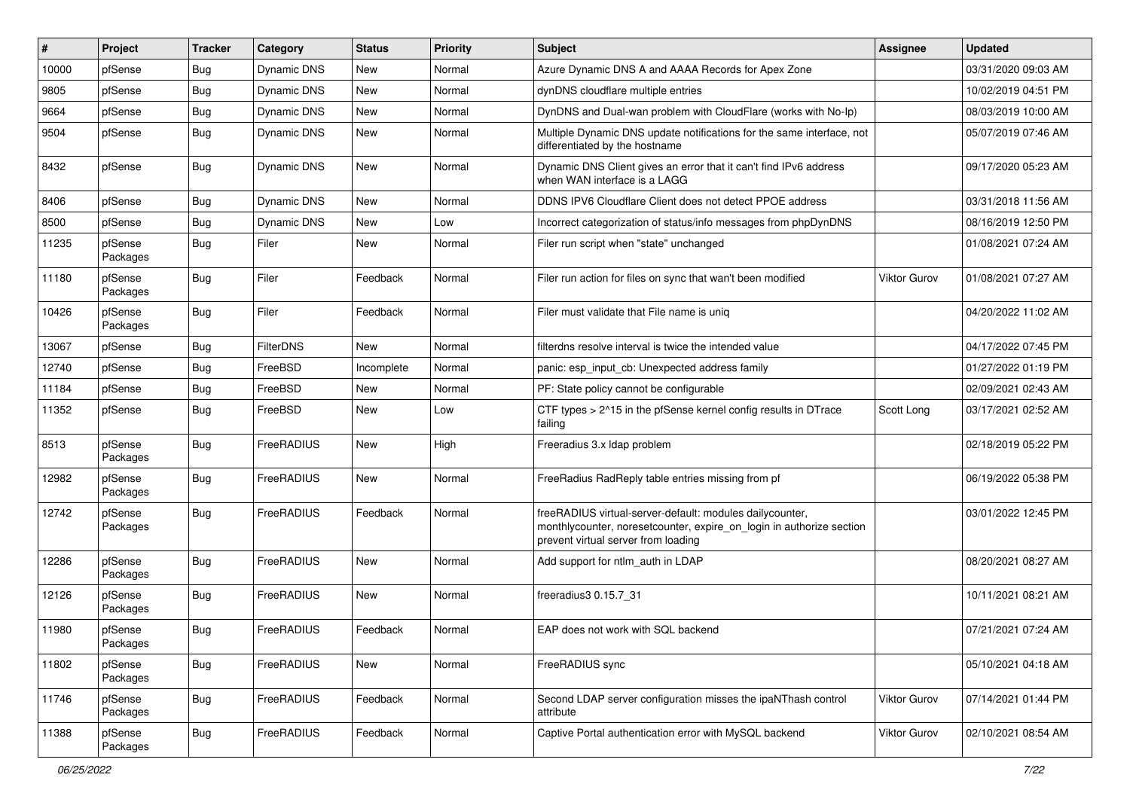| ∦     | Project             | <b>Tracker</b> | Category           | <b>Status</b> | <b>Priority</b> | Subject                                                                                                                                                                 | <b>Assignee</b> | <b>Updated</b>      |
|-------|---------------------|----------------|--------------------|---------------|-----------------|-------------------------------------------------------------------------------------------------------------------------------------------------------------------------|-----------------|---------------------|
| 10000 | pfSense             | <b>Bug</b>     | Dynamic DNS        | New           | Normal          | Azure Dynamic DNS A and AAAA Records for Apex Zone                                                                                                                      |                 | 03/31/2020 09:03 AM |
| 9805  | pfSense             | Bug            | <b>Dynamic DNS</b> | <b>New</b>    | Normal          | dynDNS cloudflare multiple entries                                                                                                                                      |                 | 10/02/2019 04:51 PM |
| 9664  | pfSense             | <b>Bug</b>     | <b>Dynamic DNS</b> | <b>New</b>    | Normal          | DynDNS and Dual-wan problem with CloudFlare (works with No-Ip)                                                                                                          |                 | 08/03/2019 10:00 AM |
| 9504  | pfSense             | <b>Bug</b>     | <b>Dynamic DNS</b> | <b>New</b>    | Normal          | Multiple Dynamic DNS update notifications for the same interface, not<br>differentiated by the hostname                                                                 |                 | 05/07/2019 07:46 AM |
| 8432  | pfSense             | <b>Bug</b>     | <b>Dynamic DNS</b> | New           | Normal          | Dynamic DNS Client gives an error that it can't find IPv6 address<br>when WAN interface is a LAGG                                                                       |                 | 09/17/2020 05:23 AM |
| 8406  | pfSense             | Bug            | <b>Dynamic DNS</b> | <b>New</b>    | Normal          | DDNS IPV6 Cloudflare Client does not detect PPOE address                                                                                                                |                 | 03/31/2018 11:56 AM |
| 8500  | pfSense             | <b>Bug</b>     | <b>Dynamic DNS</b> | New           | Low             | Incorrect categorization of status/info messages from phpDynDNS                                                                                                         |                 | 08/16/2019 12:50 PM |
| 11235 | pfSense<br>Packages | <b>Bug</b>     | Filer              | <b>New</b>    | Normal          | Filer run script when "state" unchanged                                                                                                                                 |                 | 01/08/2021 07:24 AM |
| 11180 | pfSense<br>Packages | <b>Bug</b>     | Filer              | Feedback      | Normal          | Filer run action for files on sync that wan't been modified                                                                                                             | Viktor Gurov    | 01/08/2021 07:27 AM |
| 10426 | pfSense<br>Packages | <b>Bug</b>     | Filer              | Feedback      | Normal          | Filer must validate that File name is unig                                                                                                                              |                 | 04/20/2022 11:02 AM |
| 13067 | pfSense             | <b>Bug</b>     | FilterDNS          | New           | Normal          | filterdns resolve interval is twice the intended value                                                                                                                  |                 | 04/17/2022 07:45 PM |
| 12740 | pfSense             | <b>Bug</b>     | FreeBSD            | Incomplete    | Normal          | panic: esp input cb: Unexpected address family                                                                                                                          |                 | 01/27/2022 01:19 PM |
| 11184 | pfSense             | <b>Bug</b>     | FreeBSD            | New           | Normal          | PF: State policy cannot be configurable                                                                                                                                 |                 | 02/09/2021 02:43 AM |
| 11352 | pfSense             | <b>Bug</b>     | FreeBSD            | <b>New</b>    | Low             | CTF types > 2^15 in the pfSense kernel config results in DTrace<br>failing                                                                                              | Scott Long      | 03/17/2021 02:52 AM |
| 8513  | pfSense<br>Packages | <b>Bug</b>     | FreeRADIUS         | <b>New</b>    | High            | Freeradius 3.x Idap problem                                                                                                                                             |                 | 02/18/2019 05:22 PM |
| 12982 | pfSense<br>Packages | <b>Bug</b>     | FreeRADIUS         | New           | Normal          | FreeRadius RadReply table entries missing from pf                                                                                                                       |                 | 06/19/2022 05:38 PM |
| 12742 | pfSense<br>Packages | <b>Bug</b>     | FreeRADIUS         | Feedback      | Normal          | freeRADIUS virtual-server-default: modules dailycounter,<br>monthlycounter, noresetcounter, expire_on_login in authorize section<br>prevent virtual server from loading |                 | 03/01/2022 12:45 PM |
| 12286 | pfSense<br>Packages | <b>Bug</b>     | FreeRADIUS         | New           | Normal          | Add support for ntlm auth in LDAP                                                                                                                                       |                 | 08/20/2021 08:27 AM |
| 12126 | pfSense<br>Packages | <b>Bug</b>     | FreeRADIUS         | <b>New</b>    | Normal          | freeradius3 0.15.7 31                                                                                                                                                   |                 | 10/11/2021 08:21 AM |
| 11980 | pfSense<br>Packages | Bug            | FreeRADIUS         | Feedback      | Normal          | EAP does not work with SQL backend                                                                                                                                      |                 | 07/21/2021 07:24 AM |
| 11802 | pfSense<br>Packages | Bug            | FreeRADIUS         | New           | Normal          | FreeRADIUS sync                                                                                                                                                         |                 | 05/10/2021 04:18 AM |
| 11746 | pfSense<br>Packages | <b>Bug</b>     | FreeRADIUS         | Feedback      | Normal          | Second LDAP server configuration misses the ipaNThash control<br>attribute                                                                                              | Viktor Gurov    | 07/14/2021 01:44 PM |
| 11388 | pfSense<br>Packages | <b>Bug</b>     | FreeRADIUS         | Feedback      | Normal          | Captive Portal authentication error with MySQL backend                                                                                                                  | Viktor Gurov    | 02/10/2021 08:54 AM |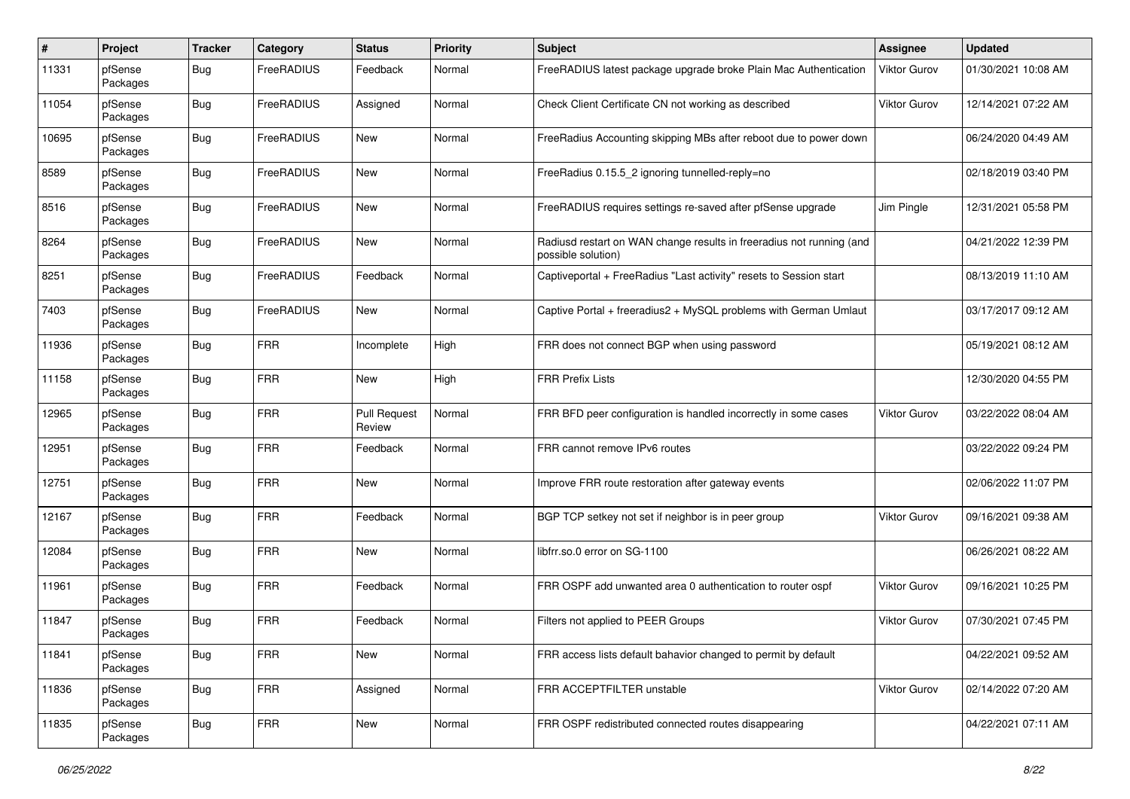| #     | Project             | <b>Tracker</b> | Category   | <b>Status</b>                 | <b>Priority</b> | Subject                                                                                    | Assignee     | <b>Updated</b>      |
|-------|---------------------|----------------|------------|-------------------------------|-----------------|--------------------------------------------------------------------------------------------|--------------|---------------------|
| 11331 | pfSense<br>Packages | <b>Bug</b>     | FreeRADIUS | Feedback                      | Normal          | FreeRADIUS latest package upgrade broke Plain Mac Authentication                           | Viktor Gurov | 01/30/2021 10:08 AM |
| 11054 | pfSense<br>Packages | <b>Bug</b>     | FreeRADIUS | Assigned                      | Normal          | Check Client Certificate CN not working as described                                       | Viktor Gurov | 12/14/2021 07:22 AM |
| 10695 | pfSense<br>Packages | <b>Bug</b>     | FreeRADIUS | New                           | Normal          | FreeRadius Accounting skipping MBs after reboot due to power down                          |              | 06/24/2020 04:49 AM |
| 8589  | pfSense<br>Packages | <b>Bug</b>     | FreeRADIUS | New                           | Normal          | FreeRadius 0.15.5_2 ignoring tunnelled-reply=no                                            |              | 02/18/2019 03:40 PM |
| 8516  | pfSense<br>Packages | <b>Bug</b>     | FreeRADIUS | <b>New</b>                    | Normal          | FreeRADIUS requires settings re-saved after pfSense upgrade                                | Jim Pingle   | 12/31/2021 05:58 PM |
| 8264  | pfSense<br>Packages | <b>Bug</b>     | FreeRADIUS | New                           | Normal          | Radiusd restart on WAN change results in freeradius not running (and<br>possible solution) |              | 04/21/2022 12:39 PM |
| 8251  | pfSense<br>Packages | Bug            | FreeRADIUS | Feedback                      | Normal          | Captiveportal + FreeRadius "Last activity" resets to Session start                         |              | 08/13/2019 11:10 AM |
| 7403  | pfSense<br>Packages | <b>Bug</b>     | FreeRADIUS | New                           | Normal          | Captive Portal + freeradius2 + MySQL problems with German Umlaut                           |              | 03/17/2017 09:12 AM |
| 11936 | pfSense<br>Packages | <b>Bug</b>     | <b>FRR</b> | Incomplete                    | High            | FRR does not connect BGP when using password                                               |              | 05/19/2021 08:12 AM |
| 11158 | pfSense<br>Packages | <b>Bug</b>     | <b>FRR</b> | New                           | High            | <b>FRR Prefix Lists</b>                                                                    |              | 12/30/2020 04:55 PM |
| 12965 | pfSense<br>Packages | <b>Bug</b>     | <b>FRR</b> | <b>Pull Request</b><br>Review | Normal          | FRR BFD peer configuration is handled incorrectly in some cases                            | Viktor Gurov | 03/22/2022 08:04 AM |
| 12951 | pfSense<br>Packages | <b>Bug</b>     | <b>FRR</b> | Feedback                      | Normal          | FRR cannot remove IPv6 routes                                                              |              | 03/22/2022 09:24 PM |
| 12751 | pfSense<br>Packages | <b>Bug</b>     | <b>FRR</b> | New                           | Normal          | Improve FRR route restoration after gateway events                                         |              | 02/06/2022 11:07 PM |
| 12167 | pfSense<br>Packages | <b>Bug</b>     | <b>FRR</b> | Feedback                      | Normal          | BGP TCP setkey not set if neighbor is in peer group                                        | Viktor Gurov | 09/16/2021 09:38 AM |
| 12084 | pfSense<br>Packages | <b>Bug</b>     | <b>FRR</b> | New                           | Normal          | libfrr.so.0 error on SG-1100                                                               |              | 06/26/2021 08:22 AM |
| 11961 | pfSense<br>Packages | <b>Bug</b>     | <b>FRR</b> | Feedback                      | Normal          | FRR OSPF add unwanted area 0 authentication to router ospf                                 | Viktor Gurov | 09/16/2021 10:25 PM |
| 11847 | pfSense<br>Packages | <b>Bug</b>     | <b>FRR</b> | Feedback                      | Normal          | Filters not applied to PEER Groups                                                         | Viktor Gurov | 07/30/2021 07:45 PM |
| 11841 | pfSense<br>Packages | <b>Bug</b>     | <b>FRR</b> | New                           | Normal          | FRR access lists default bahavior changed to permit by default                             |              | 04/22/2021 09:52 AM |
| 11836 | pfSense<br>Packages | Bug            | <b>FRR</b> | Assigned                      | Normal          | FRR ACCEPTFILTER unstable                                                                  | Viktor Gurov | 02/14/2022 07:20 AM |
| 11835 | pfSense<br>Packages | <b>Bug</b>     | <b>FRR</b> | New                           | Normal          | FRR OSPF redistributed connected routes disappearing                                       |              | 04/22/2021 07:11 AM |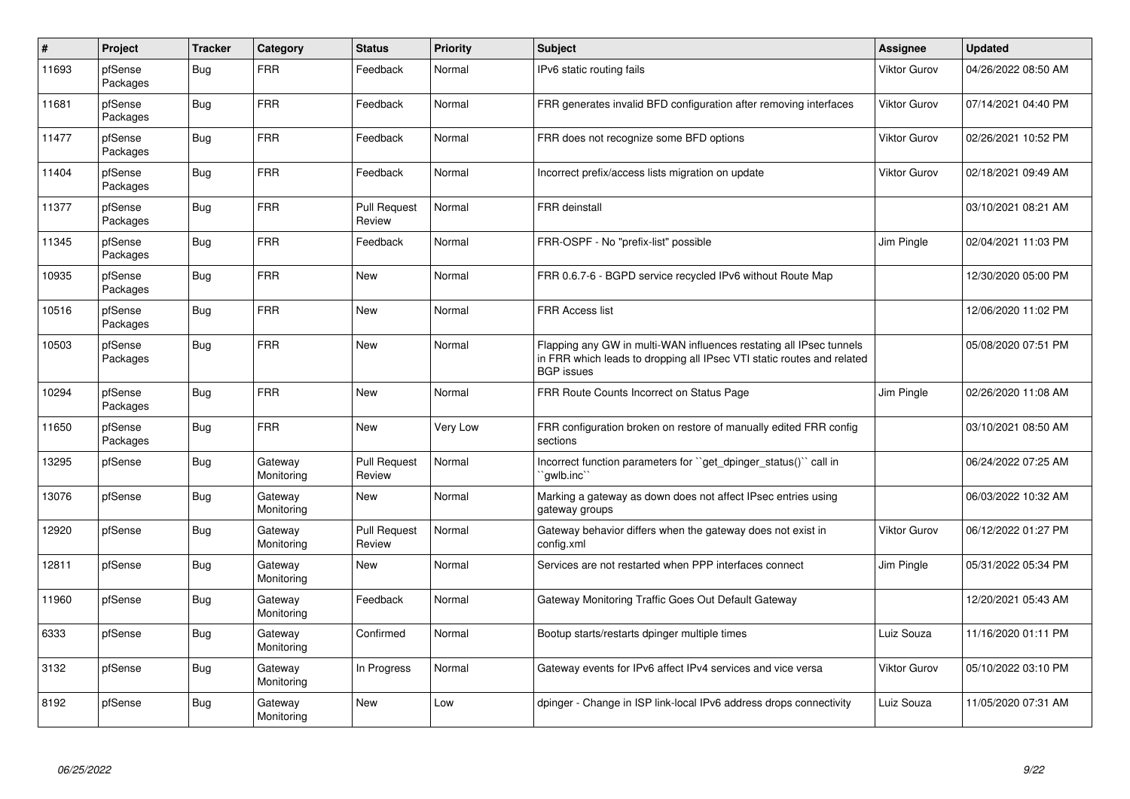| $\#$  | Project             | <b>Tracker</b> | Category              | <b>Status</b>                 | <b>Priority</b> | <b>Subject</b>                                                                                                                                                     | Assignee            | <b>Updated</b>      |
|-------|---------------------|----------------|-----------------------|-------------------------------|-----------------|--------------------------------------------------------------------------------------------------------------------------------------------------------------------|---------------------|---------------------|
| 11693 | pfSense<br>Packages | Bug            | FRR                   | Feedback                      | Normal          | IPv6 static routing fails                                                                                                                                          | Viktor Gurov        | 04/26/2022 08:50 AM |
| 11681 | pfSense<br>Packages | Bug            | <b>FRR</b>            | Feedback                      | Normal          | FRR generates invalid BFD configuration after removing interfaces                                                                                                  | Viktor Gurov        | 07/14/2021 04:40 PM |
| 11477 | pfSense<br>Packages | Bug            | <b>FRR</b>            | Feedback                      | Normal          | FRR does not recognize some BFD options                                                                                                                            | Viktor Gurov        | 02/26/2021 10:52 PM |
| 11404 | pfSense<br>Packages | Bug            | <b>FRR</b>            | Feedback                      | Normal          | Incorrect prefix/access lists migration on update                                                                                                                  | Viktor Gurov        | 02/18/2021 09:49 AM |
| 11377 | pfSense<br>Packages | <b>Bug</b>     | <b>FRR</b>            | <b>Pull Request</b><br>Review | Normal          | <b>FRR</b> deinstall                                                                                                                                               |                     | 03/10/2021 08:21 AM |
| 11345 | pfSense<br>Packages | <b>Bug</b>     | <b>FRR</b>            | Feedback                      | Normal          | FRR-OSPF - No "prefix-list" possible                                                                                                                               | Jim Pingle          | 02/04/2021 11:03 PM |
| 10935 | pfSense<br>Packages | <b>Bug</b>     | <b>FRR</b>            | New                           | Normal          | FRR 0.6.7-6 - BGPD service recycled IPv6 without Route Map                                                                                                         |                     | 12/30/2020 05:00 PM |
| 10516 | pfSense<br>Packages | Bug            | <b>FRR</b>            | <b>New</b>                    | Normal          | FRR Access list                                                                                                                                                    |                     | 12/06/2020 11:02 PM |
| 10503 | pfSense<br>Packages | <b>Bug</b>     | <b>FRR</b>            | <b>New</b>                    | Normal          | Flapping any GW in multi-WAN influences restating all IPsec tunnels<br>in FRR which leads to dropping all IPsec VTI static routes and related<br><b>BGP</b> issues |                     | 05/08/2020 07:51 PM |
| 10294 | pfSense<br>Packages | <b>Bug</b>     | <b>FRR</b>            | <b>New</b>                    | Normal          | FRR Route Counts Incorrect on Status Page                                                                                                                          | Jim Pingle          | 02/26/2020 11:08 AM |
| 11650 | pfSense<br>Packages | <b>Bug</b>     | <b>FRR</b>            | New                           | Very Low        | FRR configuration broken on restore of manually edited FRR config<br>sections                                                                                      |                     | 03/10/2021 08:50 AM |
| 13295 | pfSense             | <b>Bug</b>     | Gateway<br>Monitoring | <b>Pull Request</b><br>Review | Normal          | Incorrect function parameters for "get_dpinger_status()" call in<br>`qwlb.inc`                                                                                     |                     | 06/24/2022 07:25 AM |
| 13076 | pfSense             | Bug            | Gateway<br>Monitoring | <b>New</b>                    | Normal          | Marking a gateway as down does not affect IPsec entries using<br>gateway groups                                                                                    |                     | 06/03/2022 10:32 AM |
| 12920 | pfSense             | Bug            | Gateway<br>Monitoring | <b>Pull Request</b><br>Review | Normal          | Gateway behavior differs when the gateway does not exist in<br>config.xml                                                                                          | <b>Viktor Gurov</b> | 06/12/2022 01:27 PM |
| 12811 | pfSense             | <b>Bug</b>     | Gateway<br>Monitoring | <b>New</b>                    | Normal          | Services are not restarted when PPP interfaces connect                                                                                                             | Jim Pingle          | 05/31/2022 05:34 PM |
| 11960 | pfSense             | Bug            | Gateway<br>Monitoring | Feedback                      | Normal          | Gateway Monitoring Traffic Goes Out Default Gateway                                                                                                                |                     | 12/20/2021 05:43 AM |
| 6333  | pfSense             | Bug            | Gateway<br>Monitoring | Confirmed                     | Normal          | Bootup starts/restarts dpinger multiple times                                                                                                                      | Luiz Souza          | 11/16/2020 01:11 PM |
| 3132  | pfSense             | Bug            | Gateway<br>Monitoring | In Progress                   | Normal          | Gateway events for IPv6 affect IPv4 services and vice versa                                                                                                        | Viktor Gurov        | 05/10/2022 03:10 PM |
| 8192  | pfSense             | <b>Bug</b>     | Gateway<br>Monitoring | New                           | Low             | dpinger - Change in ISP link-local IPv6 address drops connectivity                                                                                                 | Luiz Souza          | 11/05/2020 07:31 AM |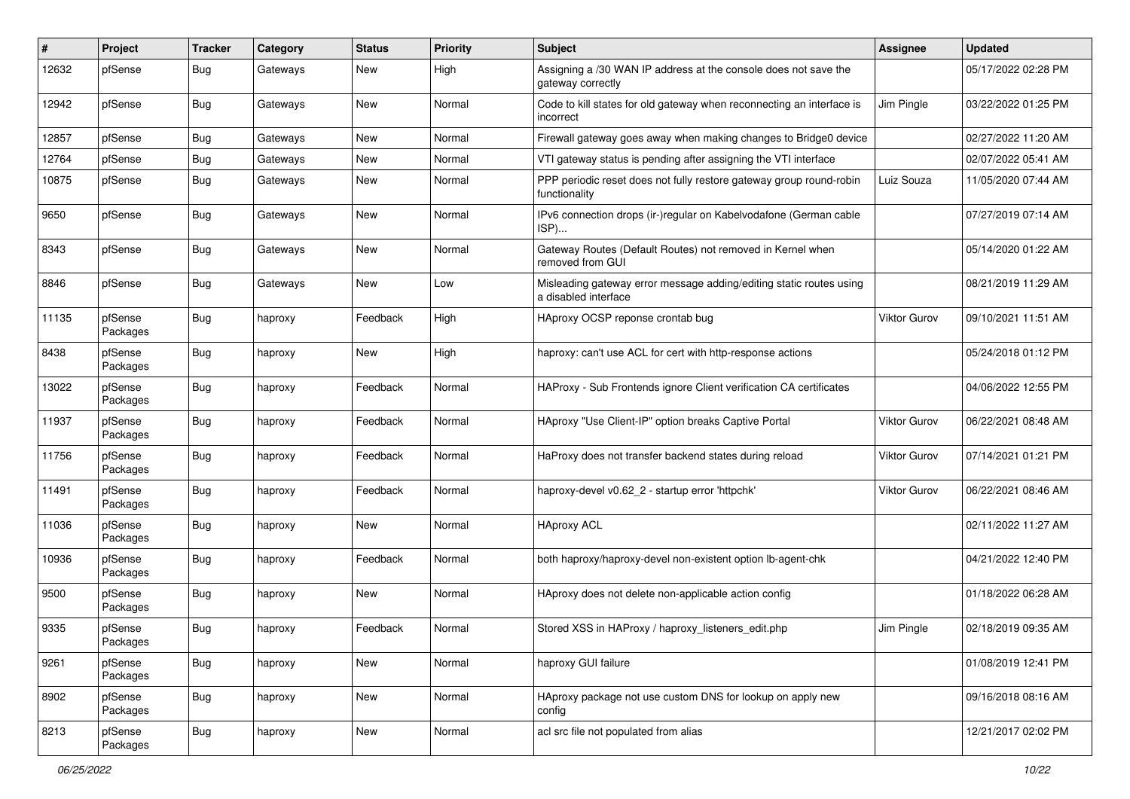| #     | Project             | <b>Tracker</b> | Category | <b>Status</b> | Priority | Subject                                                                                     | <b>Assignee</b>     | <b>Updated</b>      |
|-------|---------------------|----------------|----------|---------------|----------|---------------------------------------------------------------------------------------------|---------------------|---------------------|
| 12632 | pfSense             | <b>Bug</b>     | Gateways | New           | High     | Assigning a /30 WAN IP address at the console does not save the<br>gateway correctly        |                     | 05/17/2022 02:28 PM |
| 12942 | pfSense             | <b>Bug</b>     | Gateways | <b>New</b>    | Normal   | Code to kill states for old gateway when reconnecting an interface is<br>incorrect          | Jim Pingle          | 03/22/2022 01:25 PM |
| 12857 | pfSense             | <b>Bug</b>     | Gateways | <b>New</b>    | Normal   | Firewall gateway goes away when making changes to Bridge0 device                            |                     | 02/27/2022 11:20 AM |
| 12764 | pfSense             | <b>Bug</b>     | Gateways | New           | Normal   | VTI gateway status is pending after assigning the VTI interface                             |                     | 02/07/2022 05:41 AM |
| 10875 | pfSense             | <b>Bug</b>     | Gateways | New           | Normal   | PPP periodic reset does not fully restore gateway group round-robin<br>functionality        | Luiz Souza          | 11/05/2020 07:44 AM |
| 9650  | pfSense             | <b>Bug</b>     | Gateways | <b>New</b>    | Normal   | IPv6 connection drops (ir-)regular on Kabelvodafone (German cable<br>ISP)                   |                     | 07/27/2019 07:14 AM |
| 8343  | pfSense             | <b>Bug</b>     | Gateways | <b>New</b>    | Normal   | Gateway Routes (Default Routes) not removed in Kernel when<br>removed from GUI              |                     | 05/14/2020 01:22 AM |
| 8846  | pfSense             | Bug            | Gateways | <b>New</b>    | Low      | Misleading gateway error message adding/editing static routes using<br>a disabled interface |                     | 08/21/2019 11:29 AM |
| 11135 | pfSense<br>Packages | <b>Bug</b>     | haproxy  | Feedback      | High     | HAproxy OCSP reponse crontab bug                                                            | <b>Viktor Gurov</b> | 09/10/2021 11:51 AM |
| 8438  | pfSense<br>Packages | <b>Bug</b>     | haproxy  | New           | High     | haproxy: can't use ACL for cert with http-response actions                                  |                     | 05/24/2018 01:12 PM |
| 13022 | pfSense<br>Packages | <b>Bug</b>     | haproxy  | Feedback      | Normal   | HAProxy - Sub Frontends ignore Client verification CA certificates                          |                     | 04/06/2022 12:55 PM |
| 11937 | pfSense<br>Packages | <b>Bug</b>     | haproxy  | Feedback      | Normal   | HAproxy "Use Client-IP" option breaks Captive Portal                                        | <b>Viktor Gurov</b> | 06/22/2021 08:48 AM |
| 11756 | pfSense<br>Packages | <b>Bug</b>     | haproxy  | Feedback      | Normal   | HaProxy does not transfer backend states during reload                                      | <b>Viktor Gurov</b> | 07/14/2021 01:21 PM |
| 11491 | pfSense<br>Packages | <b>Bug</b>     | haproxy  | Feedback      | Normal   | haproxy-devel v0.62 2 - startup error 'httpchk'                                             | <b>Viktor Gurov</b> | 06/22/2021 08:46 AM |
| 11036 | pfSense<br>Packages | <b>Bug</b>     | haproxy  | <b>New</b>    | Normal   | <b>HAproxy ACL</b>                                                                          |                     | 02/11/2022 11:27 AM |
| 10936 | pfSense<br>Packages | <b>Bug</b>     | haproxy  | Feedback      | Normal   | both haproxy/haproxy-devel non-existent option lb-agent-chk                                 |                     | 04/21/2022 12:40 PM |
| 9500  | pfSense<br>Packages | <b>Bug</b>     | haproxy  | New           | Normal   | HAproxy does not delete non-applicable action config                                        |                     | 01/18/2022 06:28 AM |
| 9335  | pfSense<br>Packages | Bug            | haproxy  | Feedback      | Normal   | Stored XSS in HAProxy / haproxy_listeners_edit.php                                          | Jim Pingle          | 02/18/2019 09:35 AM |
| 9261  | pfSense<br>Packages | Bug            | haproxy  | <b>New</b>    | Normal   | haproxy GUI failure                                                                         |                     | 01/08/2019 12:41 PM |
| 8902  | pfSense<br>Packages | <b>Bug</b>     | haproxy  | New           | Normal   | HAproxy package not use custom DNS for lookup on apply new<br>config                        |                     | 09/16/2018 08:16 AM |
| 8213  | pfSense<br>Packages | <b>Bug</b>     | haproxy  | New           | Normal   | acl src file not populated from alias                                                       |                     | 12/21/2017 02:02 PM |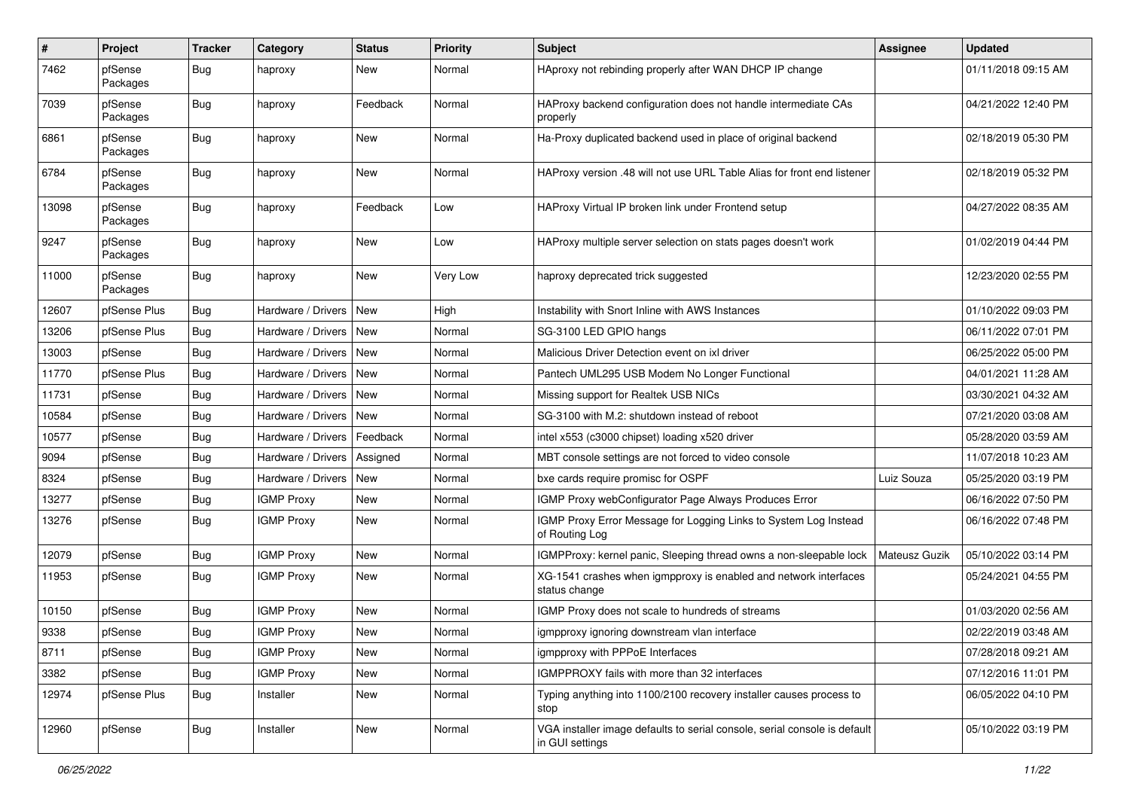| $\pmb{\#}$ | Project             | <b>Tracker</b> | Category           | <b>Status</b> | Priority | Subject                                                                                      | <b>Assignee</b> | <b>Updated</b>      |
|------------|---------------------|----------------|--------------------|---------------|----------|----------------------------------------------------------------------------------------------|-----------------|---------------------|
| 7462       | pfSense<br>Packages | Bug            | haproxy            | New           | Normal   | HAproxy not rebinding properly after WAN DHCP IP change                                      |                 | 01/11/2018 09:15 AM |
| 7039       | pfSense<br>Packages | <b>Bug</b>     | haproxy            | Feedback      | Normal   | HAProxy backend configuration does not handle intermediate CAs<br>properly                   |                 | 04/21/2022 12:40 PM |
| 6861       | pfSense<br>Packages | <b>Bug</b>     | haproxy            | <b>New</b>    | Normal   | Ha-Proxy duplicated backend used in place of original backend                                |                 | 02/18/2019 05:30 PM |
| 6784       | pfSense<br>Packages | <b>Bug</b>     | haproxy            | New           | Normal   | HAProxy version .48 will not use URL Table Alias for front end listener                      |                 | 02/18/2019 05:32 PM |
| 13098      | pfSense<br>Packages | <b>Bug</b>     | haproxy            | Feedback      | Low      | HAProxy Virtual IP broken link under Frontend setup                                          |                 | 04/27/2022 08:35 AM |
| 9247       | pfSense<br>Packages | <b>Bug</b>     | haproxy            | <b>New</b>    | Low      | HAProxy multiple server selection on stats pages doesn't work                                |                 | 01/02/2019 04:44 PM |
| 11000      | pfSense<br>Packages | <b>Bug</b>     | haproxy            | New           | Very Low | haproxy deprecated trick suggested                                                           |                 | 12/23/2020 02:55 PM |
| 12607      | pfSense Plus        | <b>Bug</b>     | Hardware / Drivers | <b>New</b>    | High     | Instability with Snort Inline with AWS Instances                                             |                 | 01/10/2022 09:03 PM |
| 13206      | pfSense Plus        | <b>Bug</b>     | Hardware / Drivers | New           | Normal   | SG-3100 LED GPIO hangs                                                                       |                 | 06/11/2022 07:01 PM |
| 13003      | pfSense             | Bug            | Hardware / Drivers | l New         | Normal   | Malicious Driver Detection event on ixl driver                                               |                 | 06/25/2022 05:00 PM |
| 11770      | pfSense Plus        | <b>Bug</b>     | Hardware / Drivers | New           | Normal   | Pantech UML295 USB Modem No Longer Functional                                                |                 | 04/01/2021 11:28 AM |
| 11731      | pfSense             | <b>Bug</b>     | Hardware / Drivers | New           | Normal   | Missing support for Realtek USB NICs                                                         |                 | 03/30/2021 04:32 AM |
| 10584      | pfSense             | <b>Bug</b>     | Hardware / Drivers | New           | Normal   | SG-3100 with M.2: shutdown instead of reboot                                                 |                 | 07/21/2020 03:08 AM |
| 10577      | pfSense             | Bug            | Hardware / Drivers | Feedback      | Normal   | intel x553 (c3000 chipset) loading x520 driver                                               |                 | 05/28/2020 03:59 AM |
| 9094       | pfSense             | <b>Bug</b>     | Hardware / Drivers | Assigned      | Normal   | MBT console settings are not forced to video console                                         |                 | 11/07/2018 10:23 AM |
| 8324       | pfSense             | <b>Bug</b>     | Hardware / Drivers | New           | Normal   | bxe cards require promisc for OSPF                                                           | Luiz Souza      | 05/25/2020 03:19 PM |
| 13277      | pfSense             | Bug            | <b>IGMP Proxy</b>  | <b>New</b>    | Normal   | IGMP Proxy webConfigurator Page Always Produces Error                                        |                 | 06/16/2022 07:50 PM |
| 13276      | pfSense             | <b>Bug</b>     | <b>IGMP Proxy</b>  | <b>New</b>    | Normal   | IGMP Proxy Error Message for Logging Links to System Log Instead<br>of Routing Log           |                 | 06/16/2022 07:48 PM |
| 12079      | pfSense             | <b>Bug</b>     | <b>IGMP Proxy</b>  | <b>New</b>    | Normal   | IGMPProxy: kernel panic, Sleeping thread owns a non-sleepable lock                           | Mateusz Guzik   | 05/10/2022 03:14 PM |
| 11953      | pfSense             | <b>Bug</b>     | <b>IGMP Proxy</b>  | New           | Normal   | XG-1541 crashes when igmpproxy is enabled and network interfaces<br>status change            |                 | 05/24/2021 04:55 PM |
| 10150      | pfSense             | <b>Bug</b>     | <b>IGMP Proxy</b>  | New           | Normal   | IGMP Proxy does not scale to hundreds of streams                                             |                 | 01/03/2020 02:56 AM |
| 9338       | pfSense             | Bug            | <b>IGMP Proxy</b>  | New           | Normal   | igmpproxy ignoring downstream vlan interface                                                 |                 | 02/22/2019 03:48 AM |
| 8711       | pfSense             | Bug            | <b>IGMP Proxy</b>  | New           | Normal   | igmpproxy with PPPoE Interfaces                                                              |                 | 07/28/2018 09:21 AM |
| 3382       | pfSense             | <b>Bug</b>     | <b>IGMP Proxy</b>  | New           | Normal   | IGMPPROXY fails with more than 32 interfaces                                                 |                 | 07/12/2016 11:01 PM |
| 12974      | pfSense Plus        | <b>Bug</b>     | Installer          | New           | Normal   | Typing anything into 1100/2100 recovery installer causes process to<br>stop                  |                 | 06/05/2022 04:10 PM |
| 12960      | pfSense             | <b>Bug</b>     | Installer          | New           | Normal   | VGA installer image defaults to serial console, serial console is default<br>in GUI settings |                 | 05/10/2022 03:19 PM |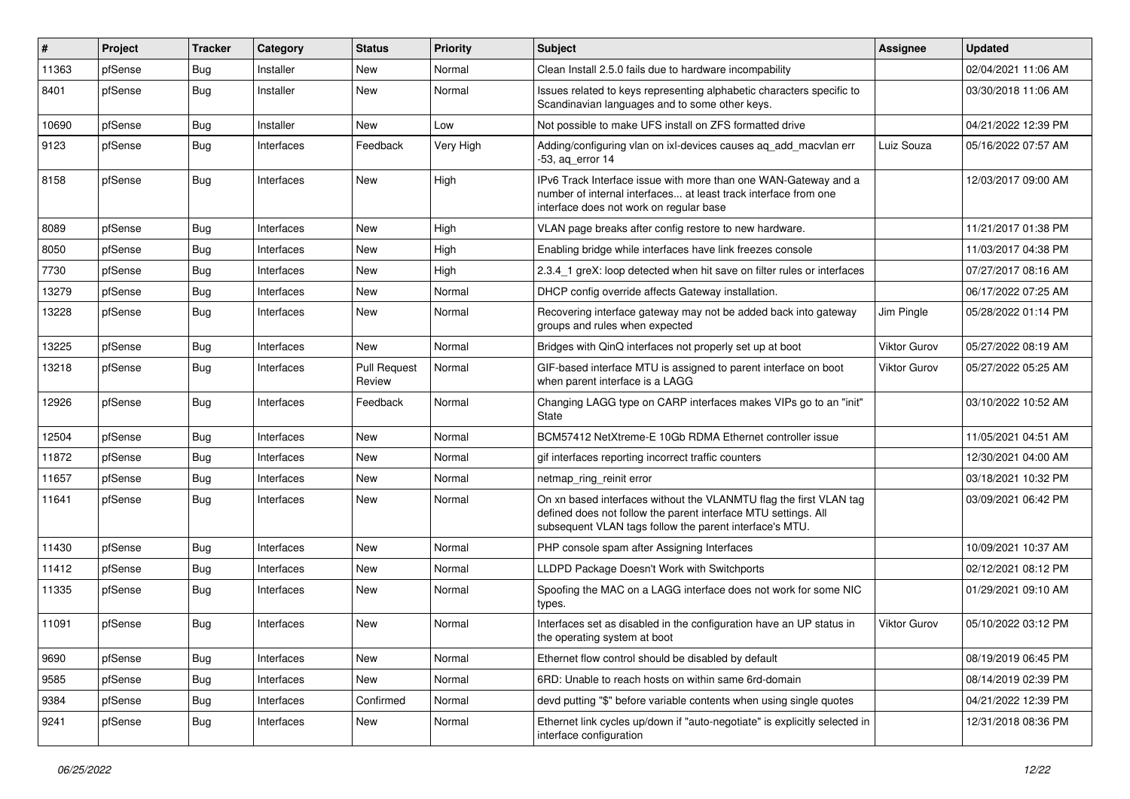| ∦     | Project | <b>Tracker</b> | Category   | <b>Status</b>                 | <b>Priority</b> | Subject                                                                                                                                                                                         | <b>Assignee</b>     | <b>Updated</b>      |
|-------|---------|----------------|------------|-------------------------------|-----------------|-------------------------------------------------------------------------------------------------------------------------------------------------------------------------------------------------|---------------------|---------------------|
| 11363 | pfSense | <b>Bug</b>     | Installer  | New                           | Normal          | Clean Install 2.5.0 fails due to hardware incompability                                                                                                                                         |                     | 02/04/2021 11:06 AM |
| 8401  | pfSense | <b>Bug</b>     | Installer  | <b>New</b>                    | Normal          | Issues related to keys representing alphabetic characters specific to<br>Scandinavian languages and to some other keys.                                                                         |                     | 03/30/2018 11:06 AM |
| 10690 | pfSense | <b>Bug</b>     | Installer  | <b>New</b>                    | Low             | Not possible to make UFS install on ZFS formatted drive                                                                                                                                         |                     | 04/21/2022 12:39 PM |
| 9123  | pfSense | <b>Bug</b>     | Interfaces | Feedback                      | Very High       | Adding/configuring vlan on ixl-devices causes aq_add_macvlan err<br>$-53$ , ag error 14                                                                                                         | Luiz Souza          | 05/16/2022 07:57 AM |
| 8158  | pfSense | Bug            | Interfaces | <b>New</b>                    | High            | IPv6 Track Interface issue with more than one WAN-Gateway and a<br>number of internal interfaces at least track interface from one<br>interface does not work on regular base                   |                     | 12/03/2017 09:00 AM |
| 8089  | pfSense | Bug            | Interfaces | <b>New</b>                    | High            | VLAN page breaks after config restore to new hardware.                                                                                                                                          |                     | 11/21/2017 01:38 PM |
| 8050  | pfSense | Bug            | Interfaces | New                           | High            | Enabling bridge while interfaces have link freezes console                                                                                                                                      |                     | 11/03/2017 04:38 PM |
| 7730  | pfSense | <b>Bug</b>     | Interfaces | <b>New</b>                    | High            | 2.3.4 1 greX: loop detected when hit save on filter rules or interfaces                                                                                                                         |                     | 07/27/2017 08:16 AM |
| 13279 | pfSense | Bug            | Interfaces | <b>New</b>                    | Normal          | DHCP config override affects Gateway installation.                                                                                                                                              |                     | 06/17/2022 07:25 AM |
| 13228 | pfSense | <b>Bug</b>     | Interfaces | New                           | Normal          | Recovering interface gateway may not be added back into gateway<br>groups and rules when expected                                                                                               | Jim Pingle          | 05/28/2022 01:14 PM |
| 13225 | pfSense | Bug            | Interfaces | <b>New</b>                    | Normal          | Bridges with QinQ interfaces not properly set up at boot                                                                                                                                        | <b>Viktor Gurov</b> | 05/27/2022 08:19 AM |
| 13218 | pfSense | <b>Bug</b>     | Interfaces | <b>Pull Request</b><br>Review | Normal          | GIF-based interface MTU is assigned to parent interface on boot<br>when parent interface is a LAGG                                                                                              | Viktor Gurov        | 05/27/2022 05:25 AM |
| 12926 | pfSense | Bug            | Interfaces | Feedback                      | Normal          | Changing LAGG type on CARP interfaces makes VIPs go to an "init"<br>State                                                                                                                       |                     | 03/10/2022 10:52 AM |
| 12504 | pfSense | <b>Bug</b>     | Interfaces | <b>New</b>                    | Normal          | BCM57412 NetXtreme-E 10Gb RDMA Ethernet controller issue                                                                                                                                        |                     | 11/05/2021 04:51 AM |
| 11872 | pfSense | Bug            | Interfaces | New                           | Normal          | gif interfaces reporting incorrect traffic counters                                                                                                                                             |                     | 12/30/2021 04:00 AM |
| 11657 | pfSense | <b>Bug</b>     | Interfaces | <b>New</b>                    | Normal          | netmap ring reinit error                                                                                                                                                                        |                     | 03/18/2021 10:32 PM |
| 11641 | pfSense | <b>Bug</b>     | Interfaces | New                           | Normal          | On xn based interfaces without the VLANMTU flag the first VLAN tag<br>defined does not follow the parent interface MTU settings. All<br>subsequent VLAN tags follow the parent interface's MTU. |                     | 03/09/2021 06:42 PM |
| 11430 | pfSense | Bug            | Interfaces | <b>New</b>                    | Normal          | PHP console spam after Assigning Interfaces                                                                                                                                                     |                     | 10/09/2021 10:37 AM |
| 11412 | pfSense | <b>Bug</b>     | Interfaces | <b>New</b>                    | Normal          | LLDPD Package Doesn't Work with Switchports                                                                                                                                                     |                     | 02/12/2021 08:12 PM |
| 11335 | pfSense | <b>Bug</b>     | Interfaces | <b>New</b>                    | Normal          | Spoofing the MAC on a LAGG interface does not work for some NIC<br>types.                                                                                                                       |                     | 01/29/2021 09:10 AM |
| 11091 | pfSense | Bug            | Interfaces | <b>New</b>                    | Normal          | Interfaces set as disabled in the configuration have an UP status in<br>the operating system at boot                                                                                            | <b>Viktor Gurov</b> | 05/10/2022 03:12 PM |
| 9690  | pfSense | Bug            | Interfaces | New                           | Normal          | Ethernet flow control should be disabled by default                                                                                                                                             |                     | 08/19/2019 06:45 PM |
| 9585  | pfSense | <b>Bug</b>     | Interfaces | New                           | Normal          | 6RD: Unable to reach hosts on within same 6rd-domain                                                                                                                                            |                     | 08/14/2019 02:39 PM |
| 9384  | pfSense | <b>Bug</b>     | Interfaces | Confirmed                     | Normal          | devd putting "\$" before variable contents when using single quotes                                                                                                                             |                     | 04/21/2022 12:39 PM |
| 9241  | pfSense | <b>Bug</b>     | Interfaces | New                           | Normal          | Ethernet link cycles up/down if "auto-negotiate" is explicitly selected in<br>interface configuration                                                                                           |                     | 12/31/2018 08:36 PM |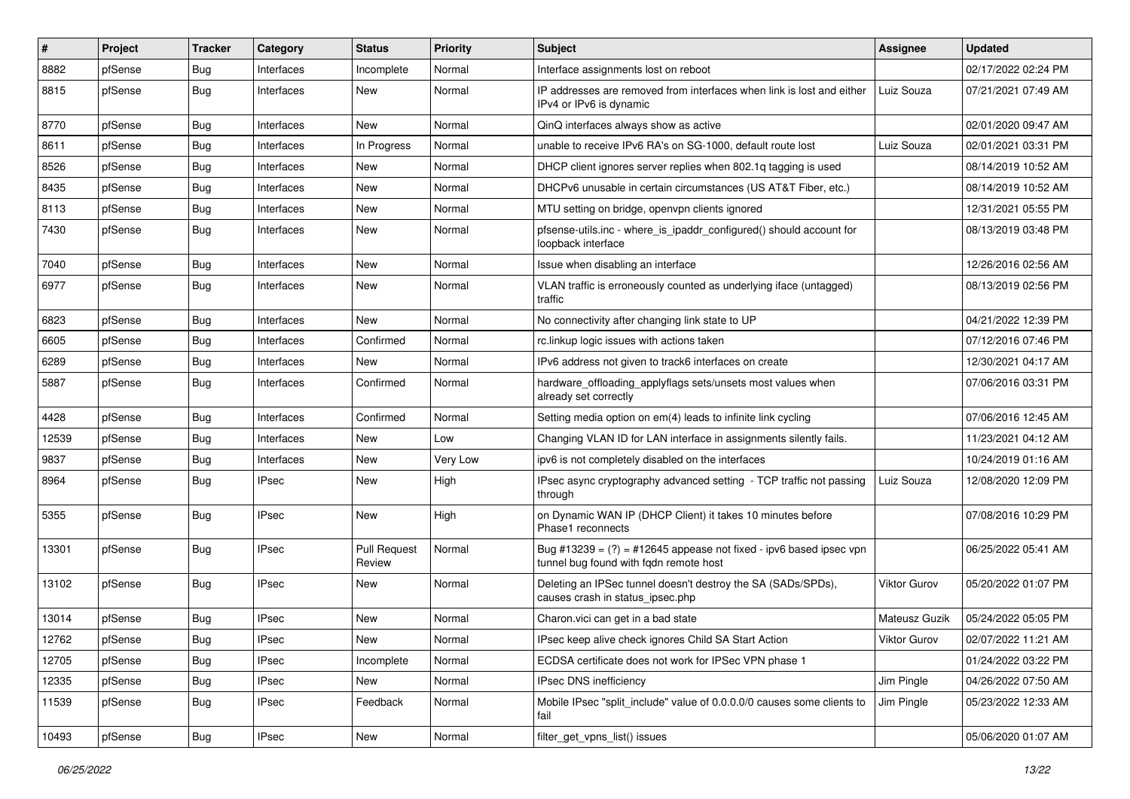| #     | Project | <b>Tracker</b> | Category     | <b>Status</b>                 | Priority | <b>Subject</b>                                                                                                 | <b>Assignee</b>     | <b>Updated</b>      |
|-------|---------|----------------|--------------|-------------------------------|----------|----------------------------------------------------------------------------------------------------------------|---------------------|---------------------|
| 8882  | pfSense | <b>Bug</b>     | Interfaces   | Incomplete                    | Normal   | Interface assignments lost on reboot                                                                           |                     | 02/17/2022 02:24 PM |
| 8815  | pfSense | <b>Bug</b>     | Interfaces   | <b>New</b>                    | Normal   | IP addresses are removed from interfaces when link is lost and either<br>IPv4 or IPv6 is dynamic               | Luiz Souza          | 07/21/2021 07:49 AM |
| 8770  | pfSense | <b>Bug</b>     | Interfaces   | New                           | Normal   | QinQ interfaces always show as active                                                                          |                     | 02/01/2020 09:47 AM |
| 8611  | pfSense | <b>Bug</b>     | Interfaces   | In Progress                   | Normal   | unable to receive IPv6 RA's on SG-1000, default route lost                                                     | Luiz Souza          | 02/01/2021 03:31 PM |
| 8526  | pfSense | <b>Bug</b>     | Interfaces   | New                           | Normal   | DHCP client ignores server replies when 802.1q tagging is used                                                 |                     | 08/14/2019 10:52 AM |
| 8435  | pfSense | <b>Bug</b>     | Interfaces   | New                           | Normal   | DHCPv6 unusable in certain circumstances (US AT&T Fiber, etc.)                                                 |                     | 08/14/2019 10:52 AM |
| 8113  | pfSense | <b>Bug</b>     | Interfaces   | New                           | Normal   | MTU setting on bridge, openvpn clients ignored                                                                 |                     | 12/31/2021 05:55 PM |
| 7430  | pfSense | <b>Bug</b>     | Interfaces   | New                           | Normal   | pfsense-utils.inc - where_is_ipaddr_configured() should account for<br>loopback interface                      |                     | 08/13/2019 03:48 PM |
| 7040  | pfSense | Bug            | Interfaces   | New                           | Normal   | Issue when disabling an interface                                                                              |                     | 12/26/2016 02:56 AM |
| 6977  | pfSense | <b>Bug</b>     | Interfaces   | New                           | Normal   | VLAN traffic is erroneously counted as underlying iface (untagged)<br>traffic                                  |                     | 08/13/2019 02:56 PM |
| 6823  | pfSense | <b>Bug</b>     | Interfaces   | New                           | Normal   | No connectivity after changing link state to UP                                                                |                     | 04/21/2022 12:39 PM |
| 6605  | pfSense | <b>Bug</b>     | Interfaces   | Confirmed                     | Normal   | rc.linkup logic issues with actions taken                                                                      |                     | 07/12/2016 07:46 PM |
| 6289  | pfSense | <b>Bug</b>     | Interfaces   | New                           | Normal   | IPv6 address not given to track6 interfaces on create                                                          |                     | 12/30/2021 04:17 AM |
| 5887  | pfSense | <b>Bug</b>     | Interfaces   | Confirmed                     | Normal   | hardware_offloading_applyflags sets/unsets most values when<br>already set correctly                           |                     | 07/06/2016 03:31 PM |
| 4428  | pfSense | Bug            | Interfaces   | Confirmed                     | Normal   | Setting media option on em(4) leads to infinite link cycling                                                   |                     | 07/06/2016 12:45 AM |
| 12539 | pfSense | <b>Bug</b>     | Interfaces   | <b>New</b>                    | Low      | Changing VLAN ID for LAN interface in assignments silently fails.                                              |                     | 11/23/2021 04:12 AM |
| 9837  | pfSense | Bug            | Interfaces   | <b>New</b>                    | Very Low | ipv6 is not completely disabled on the interfaces                                                              |                     | 10/24/2019 01:16 AM |
| 8964  | pfSense | <b>Bug</b>     | <b>IPsec</b> | New                           | High     | IPsec async cryptography advanced setting - TCP traffic not passing<br>through                                 | Luiz Souza          | 12/08/2020 12:09 PM |
| 5355  | pfSense | <b>Bug</b>     | <b>IPsec</b> | New                           | High     | on Dynamic WAN IP (DHCP Client) it takes 10 minutes before<br>Phase1 reconnects                                |                     | 07/08/2016 10:29 PM |
| 13301 | pfSense | <b>Bug</b>     | <b>IPsec</b> | <b>Pull Request</b><br>Review | Normal   | Bug #13239 = $(?)$ = #12645 appease not fixed - ipv6 based ipsec vpn<br>tunnel bug found with fqdn remote host |                     | 06/25/2022 05:41 AM |
| 13102 | pfSense | <b>Bug</b>     | <b>IPsec</b> | New                           | Normal   | Deleting an IPSec tunnel doesn't destroy the SA (SADs/SPDs),<br>causes crash in status_ipsec.php               | <b>Viktor Gurov</b> | 05/20/2022 01:07 PM |
| 13014 | pfSense | Bug            | <b>IPsec</b> | New                           | Normal   | Charon.vici can get in a bad state                                                                             | Mateusz Guzik       | 05/24/2022 05:05 PM |
| 12762 | pfSense | <b>Bug</b>     | <b>IPsec</b> | New                           | Normal   | IPsec keep alive check ignores Child SA Start Action                                                           | Viktor Gurov        | 02/07/2022 11:21 AM |
| 12705 | pfSense | <b>Bug</b>     | <b>IPsec</b> | Incomplete                    | Normal   | ECDSA certificate does not work for IPSec VPN phase 1                                                          |                     | 01/24/2022 03:22 PM |
| 12335 | pfSense | <b>Bug</b>     | <b>IPsec</b> | New                           | Normal   | IPsec DNS inefficiency                                                                                         | Jim Pingle          | 04/26/2022 07:50 AM |
| 11539 | pfSense | <b>Bug</b>     | <b>IPsec</b> | Feedback                      | Normal   | Mobile IPsec "split_include" value of 0.0.0.0/0 causes some clients to<br>fail                                 | Jim Pingle          | 05/23/2022 12:33 AM |
| 10493 | pfSense | <b>Bug</b>     | <b>IPsec</b> | New                           | Normal   | filter_get_vpns_list() issues                                                                                  |                     | 05/06/2020 01:07 AM |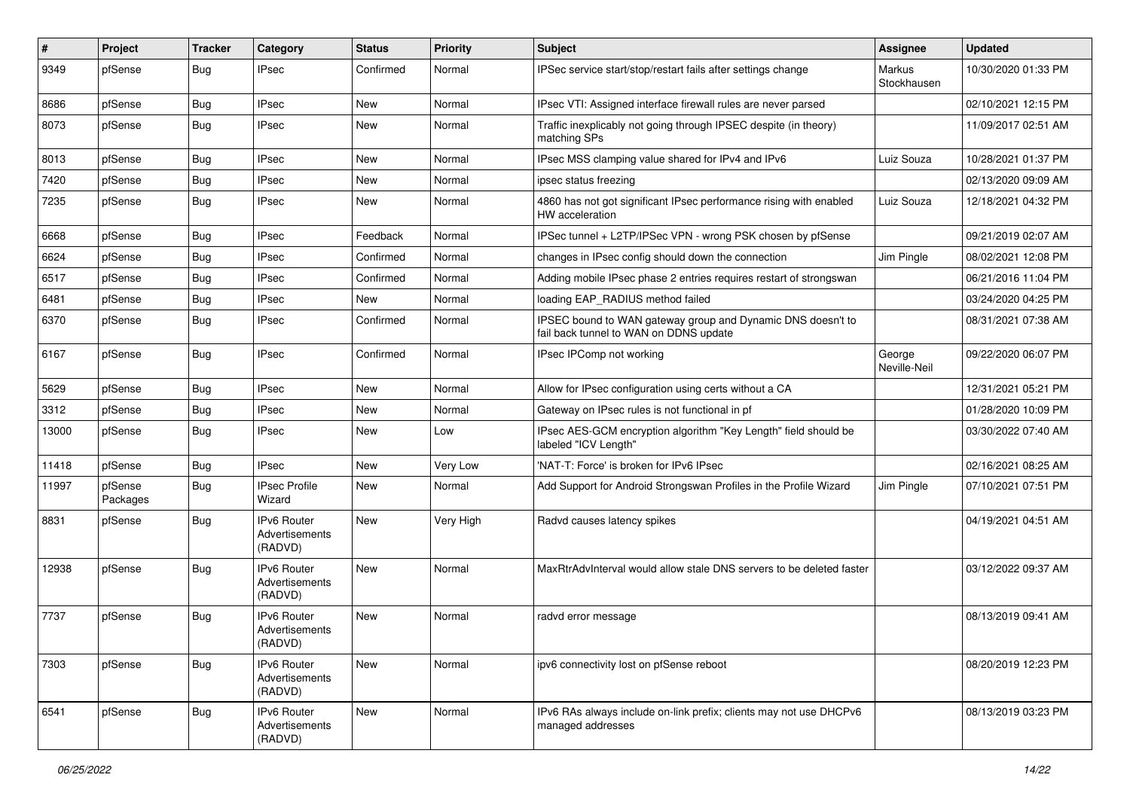| $\sharp$ | Project             | <b>Tracker</b> | Category                                        | <b>Status</b> | <b>Priority</b> | Subject                                                                                               | <b>Assignee</b>        | <b>Updated</b>      |
|----------|---------------------|----------------|-------------------------------------------------|---------------|-----------------|-------------------------------------------------------------------------------------------------------|------------------------|---------------------|
| 9349     | pfSense             | <b>Bug</b>     | IPsec                                           | Confirmed     | Normal          | IPSec service start/stop/restart fails after settings change                                          | Markus<br>Stockhausen  | 10/30/2020 01:33 PM |
| 8686     | pfSense             | <b>Bug</b>     | <b>IPsec</b>                                    | <b>New</b>    | Normal          | IPsec VTI: Assigned interface firewall rules are never parsed                                         |                        | 02/10/2021 12:15 PM |
| 8073     | pfSense             | <b>Bug</b>     | <b>IPsec</b>                                    | <b>New</b>    | Normal          | Traffic inexplicably not going through IPSEC despite (in theory)<br>matching SPs                      |                        | 11/09/2017 02:51 AM |
| 8013     | pfSense             | <b>Bug</b>     | <b>IPsec</b>                                    | <b>New</b>    | Normal          | IPsec MSS clamping value shared for IPv4 and IPv6                                                     | Luiz Souza             | 10/28/2021 01:37 PM |
| 7420     | pfSense             | <b>Bug</b>     | <b>IPsec</b>                                    | <b>New</b>    | Normal          | ipsec status freezing                                                                                 |                        | 02/13/2020 09:09 AM |
| 7235     | pfSense             | <b>Bug</b>     | <b>IPsec</b>                                    | <b>New</b>    | Normal          | 4860 has not got significant IPsec performance rising with enabled<br>HW acceleration                 | Luiz Souza             | 12/18/2021 04:32 PM |
| 6668     | pfSense             | <b>Bug</b>     | <b>IPsec</b>                                    | Feedback      | Normal          | IPSec tunnel + L2TP/IPSec VPN - wrong PSK chosen by pfSense                                           |                        | 09/21/2019 02:07 AM |
| 6624     | pfSense             | <b>Bug</b>     | <b>IPsec</b>                                    | Confirmed     | Normal          | changes in IPsec config should down the connection                                                    | Jim Pingle             | 08/02/2021 12:08 PM |
| 6517     | pfSense             | <b>Bug</b>     | <b>IPsec</b>                                    | Confirmed     | Normal          | Adding mobile IPsec phase 2 entries requires restart of strongswan                                    |                        | 06/21/2016 11:04 PM |
| 6481     | pfSense             | <b>Bug</b>     | <b>IPsec</b>                                    | <b>New</b>    | Normal          | loading EAP RADIUS method failed                                                                      |                        | 03/24/2020 04:25 PM |
| 6370     | pfSense             | <b>Bug</b>     | <b>IPsec</b>                                    | Confirmed     | Normal          | IPSEC bound to WAN gateway group and Dynamic DNS doesn't to<br>fail back tunnel to WAN on DDNS update |                        | 08/31/2021 07:38 AM |
| 6167     | pfSense             | <b>Bug</b>     | <b>IPsec</b>                                    | Confirmed     | Normal          | IPsec IPComp not working                                                                              | George<br>Neville-Neil | 09/22/2020 06:07 PM |
| 5629     | pfSense             | <b>Bug</b>     | <b>IPsec</b>                                    | <b>New</b>    | Normal          | Allow for IPsec configuration using certs without a CA                                                |                        | 12/31/2021 05:21 PM |
| 3312     | pfSense             | <b>Bug</b>     | <b>IPsec</b>                                    | New           | Normal          | Gateway on IPsec rules is not functional in pf                                                        |                        | 01/28/2020 10:09 PM |
| 13000    | pfSense             | <b>Bug</b>     | <b>IPsec</b>                                    | <b>New</b>    | Low             | IPsec AES-GCM encryption algorithm "Key Length" field should be<br>labeled "ICV Length"               |                        | 03/30/2022 07:40 AM |
| 11418    | pfSense             | <b>Bug</b>     | <b>IPsec</b>                                    | <b>New</b>    | Very Low        | 'NAT-T: Force' is broken for IPv6 IPsec                                                               |                        | 02/16/2021 08:25 AM |
| 11997    | pfSense<br>Packages | <b>Bug</b>     | <b>IPsec Profile</b><br>Wizard                  | <b>New</b>    | Normal          | Add Support for Android Strongswan Profiles in the Profile Wizard                                     | Jim Pingle             | 07/10/2021 07:51 PM |
| 8831     | pfSense             | <b>Bug</b>     | <b>IPv6 Router</b><br>Advertisements<br>(RADVD) | New           | Very High       | Radvd causes latency spikes                                                                           |                        | 04/19/2021 04:51 AM |
| 12938    | pfSense             | <b>Bug</b>     | <b>IPv6 Router</b><br>Advertisements<br>(RADVD) | <b>New</b>    | Normal          | MaxRtrAdvInterval would allow stale DNS servers to be deleted faster                                  |                        | 03/12/2022 09:37 AM |
| 7737     | pfSense             | <b>Bug</b>     | IPv6 Router<br>Advertisements<br>(RADVD)        | <b>New</b>    | Normal          | radvd error message                                                                                   |                        | 08/13/2019 09:41 AM |
| 7303     | pfSense             | Bug            | IPv6 Router<br>Advertisements<br>(RADVD)        | <b>New</b>    | Normal          | ipv6 connectivity lost on pfSense reboot                                                              |                        | 08/20/2019 12:23 PM |
| 6541     | pfSense             | <b>Bug</b>     | IPv6 Router<br>Advertisements<br>(RADVD)        | New           | Normal          | IPv6 RAs always include on-link prefix; clients may not use DHCPv6<br>managed addresses               |                        | 08/13/2019 03:23 PM |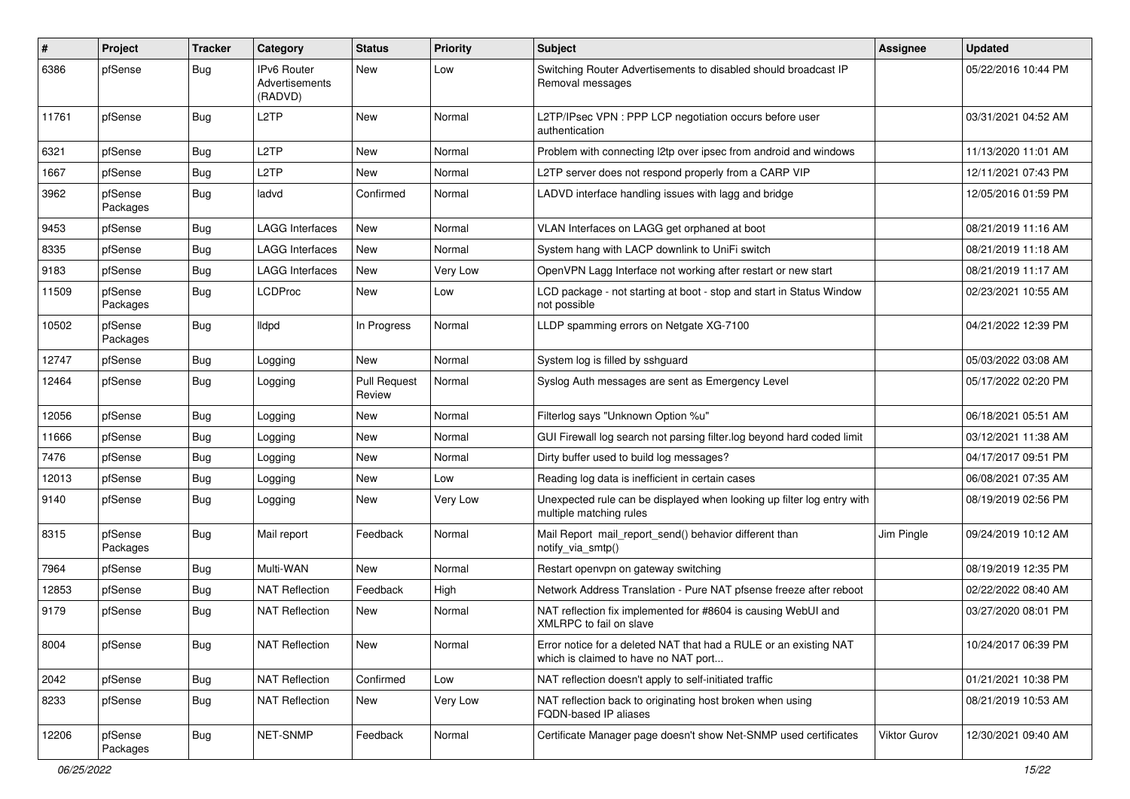| #     | Project             | <b>Tracker</b> | Category                                 | <b>Status</b>                 | <b>Priority</b> | <b>Subject</b>                                                                                            | <b>Assignee</b> | <b>Updated</b>      |
|-------|---------------------|----------------|------------------------------------------|-------------------------------|-----------------|-----------------------------------------------------------------------------------------------------------|-----------------|---------------------|
| 6386  | pfSense             | Bug            | IPv6 Router<br>Advertisements<br>(RADVD) | New                           | Low             | Switching Router Advertisements to disabled should broadcast IP<br>Removal messages                       |                 | 05/22/2016 10:44 PM |
| 11761 | pfSense             | <b>Bug</b>     | L2TP                                     | <b>New</b>                    | Normal          | L2TP/IPsec VPN : PPP LCP negotiation occurs before user<br>authentication                                 |                 | 03/31/2021 04:52 AM |
| 6321  | pfSense             | Bug            | L2TP                                     | New                           | Normal          | Problem with connecting I2tp over ipsec from android and windows                                          |                 | 11/13/2020 11:01 AM |
| 1667  | pfSense             | <b>Bug</b>     | L <sub>2</sub> TP                        | New                           | Normal          | L2TP server does not respond properly from a CARP VIP                                                     |                 | 12/11/2021 07:43 PM |
| 3962  | pfSense<br>Packages | <b>Bug</b>     | ladvd                                    | Confirmed                     | Normal          | LADVD interface handling issues with lagg and bridge                                                      |                 | 12/05/2016 01:59 PM |
| 9453  | pfSense             | <b>Bug</b>     | <b>LAGG Interfaces</b>                   | <b>New</b>                    | Normal          | VLAN Interfaces on LAGG get orphaned at boot                                                              |                 | 08/21/2019 11:16 AM |
| 8335  | pfSense             | <b>Bug</b>     | <b>LAGG Interfaces</b>                   | New                           | Normal          | System hang with LACP downlink to UniFi switch                                                            |                 | 08/21/2019 11:18 AM |
| 9183  | pfSense             | <b>Bug</b>     | <b>LAGG Interfaces</b>                   | <b>New</b>                    | Very Low        | OpenVPN Lagg Interface not working after restart or new start                                             |                 | 08/21/2019 11:17 AM |
| 11509 | pfSense<br>Packages | Bug            | <b>LCDProc</b>                           | New                           | Low             | LCD package - not starting at boot - stop and start in Status Window<br>not possible                      |                 | 02/23/2021 10:55 AM |
| 10502 | pfSense<br>Packages | <b>Bug</b>     | <b>Ildpd</b>                             | In Progress                   | Normal          | LLDP spamming errors on Netgate XG-7100                                                                   |                 | 04/21/2022 12:39 PM |
| 12747 | pfSense             | <b>Bug</b>     | Logging                                  | <b>New</b>                    | Normal          | System log is filled by sshguard                                                                          |                 | 05/03/2022 03:08 AM |
| 12464 | pfSense             | <b>Bug</b>     | Logging                                  | <b>Pull Request</b><br>Review | Normal          | Syslog Auth messages are sent as Emergency Level                                                          |                 | 05/17/2022 02:20 PM |
| 12056 | pfSense             | <b>Bug</b>     | Logging                                  | New                           | Normal          | Filterlog says "Unknown Option %u"                                                                        |                 | 06/18/2021 05:51 AM |
| 11666 | pfSense             | <b>Bug</b>     | Logging                                  | <b>New</b>                    | Normal          | GUI Firewall log search not parsing filter.log beyond hard coded limit                                    |                 | 03/12/2021 11:38 AM |
| 7476  | pfSense             | <b>Bug</b>     | Logging                                  | New                           | Normal          | Dirty buffer used to build log messages?                                                                  |                 | 04/17/2017 09:51 PM |
| 12013 | pfSense             | <b>Bug</b>     | Logging                                  | <b>New</b>                    | Low             | Reading log data is inefficient in certain cases                                                          |                 | 06/08/2021 07:35 AM |
| 9140  | pfSense             | <b>Bug</b>     | Logging                                  | <b>New</b>                    | Very Low        | Unexpected rule can be displayed when looking up filter log entry with<br>multiple matching rules         |                 | 08/19/2019 02:56 PM |
| 8315  | pfSense<br>Packages | <b>Bug</b>     | Mail report                              | Feedback                      | Normal          | Mail Report mail_report_send() behavior different than<br>notify_via_smtp()                               | Jim Pingle      | 09/24/2019 10:12 AM |
| 7964  | pfSense             | <b>Bug</b>     | Multi-WAN                                | New                           | Normal          | Restart openvpn on gateway switching                                                                      |                 | 08/19/2019 12:35 PM |
| 12853 | pfSense             | <b>Bug</b>     | <b>NAT Reflection</b>                    | Feedback                      | High            | Network Address Translation - Pure NAT pfsense freeze after reboot                                        |                 | 02/22/2022 08:40 AM |
| 9179  | pfSense             | <b>Bug</b>     | <b>NAT Reflection</b>                    | New                           | Normal          | NAT reflection fix implemented for #8604 is causing WebUI and<br>XMLRPC to fail on slave                  |                 | 03/27/2020 08:01 PM |
| 8004  | pfSense             | <b>Bug</b>     | NAT Reflection                           | New                           | Normal          | Error notice for a deleted NAT that had a RULE or an existing NAT<br>which is claimed to have no NAT port |                 | 10/24/2017 06:39 PM |
| 2042  | pfSense             | <b>Bug</b>     | <b>NAT Reflection</b>                    | Confirmed                     | Low             | NAT reflection doesn't apply to self-initiated traffic                                                    |                 | 01/21/2021 10:38 PM |
| 8233  | pfSense             | <b>Bug</b>     | <b>NAT Reflection</b>                    | New                           | Very Low        | NAT reflection back to originating host broken when using<br>FQDN-based IP aliases                        |                 | 08/21/2019 10:53 AM |
| 12206 | pfSense<br>Packages | Bug            | NET-SNMP                                 | Feedback                      | Normal          | Certificate Manager page doesn't show Net-SNMP used certificates                                          | Viktor Gurov    | 12/30/2021 09:40 AM |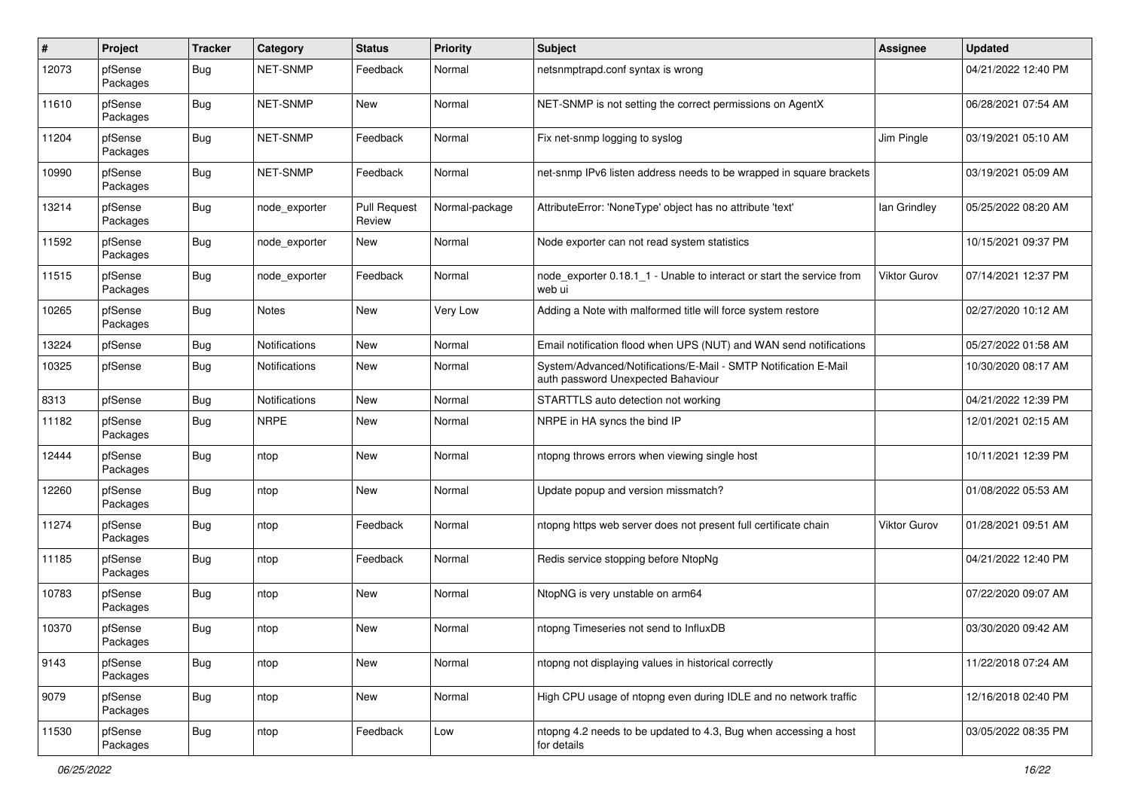| #     | Project             | <b>Tracker</b> | Category             | <b>Status</b>                 | Priority       | Subject                                                                                               | <b>Assignee</b> | <b>Updated</b>      |
|-------|---------------------|----------------|----------------------|-------------------------------|----------------|-------------------------------------------------------------------------------------------------------|-----------------|---------------------|
| 12073 | pfSense<br>Packages | <b>Bug</b>     | NET-SNMP             | Feedback                      | Normal         | netsnmptrapd.conf syntax is wrong                                                                     |                 | 04/21/2022 12:40 PM |
| 11610 | pfSense<br>Packages | <b>Bug</b>     | NET-SNMP             | New                           | Normal         | NET-SNMP is not setting the correct permissions on AgentX                                             |                 | 06/28/2021 07:54 AM |
| 11204 | pfSense<br>Packages | <b>Bug</b>     | NET-SNMP             | Feedback                      | Normal         | Fix net-snmp logging to syslog                                                                        | Jim Pingle      | 03/19/2021 05:10 AM |
| 10990 | pfSense<br>Packages | <b>Bug</b>     | NET-SNMP             | Feedback                      | Normal         | net-snmp IPv6 listen address needs to be wrapped in square brackets                                   |                 | 03/19/2021 05:09 AM |
| 13214 | pfSense<br>Packages | <b>Bug</b>     | node exporter        | <b>Pull Request</b><br>Review | Normal-package | AttributeError: 'NoneType' object has no attribute 'text'                                             | lan Grindley    | 05/25/2022 08:20 AM |
| 11592 | pfSense<br>Packages | <b>Bug</b>     | node exporter        | New                           | Normal         | Node exporter can not read system statistics                                                          |                 | 10/15/2021 09:37 PM |
| 11515 | pfSense<br>Packages | <b>Bug</b>     | node exporter        | Feedback                      | Normal         | node exporter 0.18.1 1 - Unable to interact or start the service from<br>web ui                       | Viktor Gurov    | 07/14/2021 12:37 PM |
| 10265 | pfSense<br>Packages | <b>Bug</b>     | Notes                | New                           | Very Low       | Adding a Note with malformed title will force system restore                                          |                 | 02/27/2020 10:12 AM |
| 13224 | pfSense             | <b>Bug</b>     | <b>Notifications</b> | <b>New</b>                    | Normal         | Email notification flood when UPS (NUT) and WAN send notifications                                    |                 | 05/27/2022 01:58 AM |
| 10325 | pfSense             | <b>Bug</b>     | Notifications        | New                           | Normal         | System/Advanced/Notifications/E-Mail - SMTP Notification E-Mail<br>auth password Unexpected Bahaviour |                 | 10/30/2020 08:17 AM |
| 8313  | pfSense             | Bug            | Notifications        | New                           | Normal         | STARTTLS auto detection not working                                                                   |                 | 04/21/2022 12:39 PM |
| 11182 | pfSense<br>Packages | <b>Bug</b>     | <b>NRPE</b>          | New                           | Normal         | NRPE in HA syncs the bind IP                                                                          |                 | 12/01/2021 02:15 AM |
| 12444 | pfSense<br>Packages | <b>Bug</b>     | ntop                 | New                           | Normal         | ntopng throws errors when viewing single host                                                         |                 | 10/11/2021 12:39 PM |
| 12260 | pfSense<br>Packages | <b>Bug</b>     | ntop                 | <b>New</b>                    | Normal         | Update popup and version missmatch?                                                                   |                 | 01/08/2022 05:53 AM |
| 11274 | pfSense<br>Packages | <b>Bug</b>     | ntop                 | Feedback                      | Normal         | ntopng https web server does not present full certificate chain                                       | Viktor Gurov    | 01/28/2021 09:51 AM |
| 11185 | pfSense<br>Packages | <b>Bug</b>     | ntop                 | Feedback                      | Normal         | Redis service stopping before NtopNg                                                                  |                 | 04/21/2022 12:40 PM |
| 10783 | pfSense<br>Packages | <b>Bug</b>     | ntop                 | New                           | Normal         | NtopNG is very unstable on arm64                                                                      |                 | 07/22/2020 09:07 AM |
| 10370 | pfSense<br>Packages | Bug            | ntop                 | New                           | Normal         | ntopng Timeseries not send to InfluxDB                                                                |                 | 03/30/2020 09:42 AM |
| 9143  | pfSense<br>Packages | <b>Bug</b>     | ntop                 | <b>New</b>                    | Normal         | ntopng not displaying values in historical correctly                                                  |                 | 11/22/2018 07:24 AM |
| 9079  | pfSense<br>Packages | Bug            | ntop                 | <b>New</b>                    | Normal         | High CPU usage of ntopng even during IDLE and no network traffic                                      |                 | 12/16/2018 02:40 PM |
| 11530 | pfSense<br>Packages | Bug            | ntop                 | Feedback                      | Low            | ntopng 4.2 needs to be updated to 4.3, Bug when accessing a host<br>for details                       |                 | 03/05/2022 08:35 PM |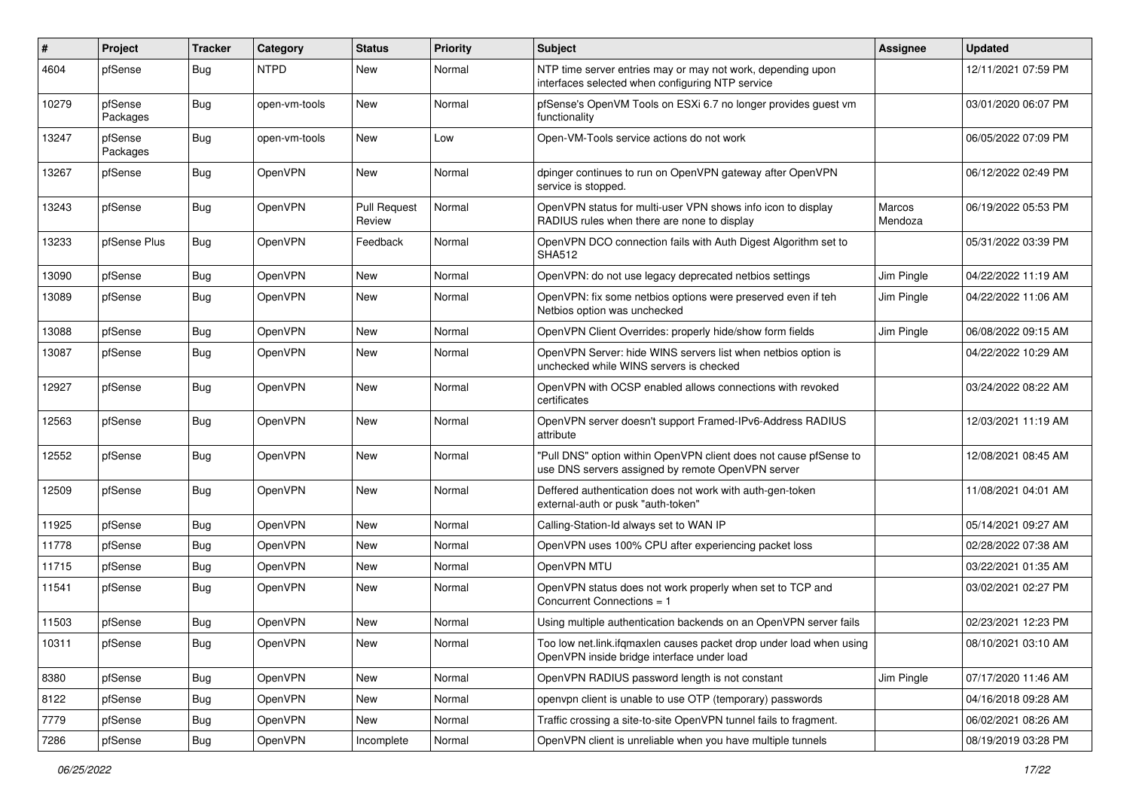| ∦     | Project             | <b>Tracker</b> | Category       | <b>Status</b>                 | <b>Priority</b> | <b>Subject</b>                                                                                                         | <b>Assignee</b>   | <b>Updated</b>      |
|-------|---------------------|----------------|----------------|-------------------------------|-----------------|------------------------------------------------------------------------------------------------------------------------|-------------------|---------------------|
| 4604  | pfSense             | <b>Bug</b>     | <b>NTPD</b>    | <b>New</b>                    | Normal          | NTP time server entries may or may not work, depending upon<br>interfaces selected when configuring NTP service        |                   | 12/11/2021 07:59 PM |
| 10279 | pfSense<br>Packages | Bug            | open-vm-tools  | New                           | Normal          | pfSense's OpenVM Tools on ESXi 6.7 no longer provides guest vm<br>functionality                                        |                   | 03/01/2020 06:07 PM |
| 13247 | pfSense<br>Packages | <b>Bug</b>     | open-vm-tools  | <b>New</b>                    | Low             | Open-VM-Tools service actions do not work                                                                              |                   | 06/05/2022 07:09 PM |
| 13267 | pfSense             | <b>Bug</b>     | OpenVPN        | <b>New</b>                    | Normal          | dpinger continues to run on OpenVPN gateway after OpenVPN<br>service is stopped.                                       |                   | 06/12/2022 02:49 PM |
| 13243 | pfSense             | <b>Bug</b>     | OpenVPN        | <b>Pull Request</b><br>Review | Normal          | OpenVPN status for multi-user VPN shows info icon to display<br>RADIUS rules when there are none to display            | Marcos<br>Mendoza | 06/19/2022 05:53 PM |
| 13233 | pfSense Plus        | Bug            | OpenVPN        | Feedback                      | Normal          | OpenVPN DCO connection fails with Auth Digest Algorithm set to<br><b>SHA512</b>                                        |                   | 05/31/2022 03:39 PM |
| 13090 | pfSense             | <b>Bug</b>     | OpenVPN        | <b>New</b>                    | Normal          | OpenVPN: do not use legacy deprecated netbios settings                                                                 | Jim Pingle        | 04/22/2022 11:19 AM |
| 13089 | pfSense             | <b>Bug</b>     | OpenVPN        | New                           | Normal          | OpenVPN: fix some netbios options were preserved even if teh<br>Netbios option was unchecked                           | Jim Pingle        | 04/22/2022 11:06 AM |
| 13088 | pfSense             | Bug            | OpenVPN        | New                           | Normal          | OpenVPN Client Overrides: properly hide/show form fields                                                               | Jim Pingle        | 06/08/2022 09:15 AM |
| 13087 | pfSense             | <b>Bug</b>     | OpenVPN        | New                           | Normal          | OpenVPN Server: hide WINS servers list when netbios option is<br>unchecked while WINS servers is checked               |                   | 04/22/2022 10:29 AM |
| 12927 | pfSense             | <b>Bug</b>     | OpenVPN        | <b>New</b>                    | Normal          | OpenVPN with OCSP enabled allows connections with revoked<br>certificates                                              |                   | 03/24/2022 08:22 AM |
| 12563 | pfSense             | <b>Bug</b>     | OpenVPN        | <b>New</b>                    | Normal          | OpenVPN server doesn't support Framed-IPv6-Address RADIUS<br>attribute                                                 |                   | 12/03/2021 11:19 AM |
| 12552 | pfSense             | <b>Bug</b>     | OpenVPN        | <b>New</b>                    | Normal          | "Pull DNS" option within OpenVPN client does not cause pfSense to<br>use DNS servers assigned by remote OpenVPN server |                   | 12/08/2021 08:45 AM |
| 12509 | pfSense             | Bug            | OpenVPN        | New                           | Normal          | Deffered authentication does not work with auth-gen-token<br>external-auth or pusk "auth-token"                        |                   | 11/08/2021 04:01 AM |
| 11925 | pfSense             | <b>Bug</b>     | OpenVPN        | New                           | Normal          | Calling-Station-Id always set to WAN IP                                                                                |                   | 05/14/2021 09:27 AM |
| 11778 | pfSense             | <b>Bug</b>     | OpenVPN        | New                           | Normal          | OpenVPN uses 100% CPU after experiencing packet loss                                                                   |                   | 02/28/2022 07:38 AM |
| 11715 | pfSense             | <b>Bug</b>     | OpenVPN        | <b>New</b>                    | Normal          | OpenVPN MTU                                                                                                            |                   | 03/22/2021 01:35 AM |
| 11541 | pfSense             | <b>Bug</b>     | <b>OpenVPN</b> | <b>New</b>                    | Normal          | OpenVPN status does not work properly when set to TCP and<br>Concurrent Connections = 1                                |                   | 03/02/2021 02:27 PM |
| 11503 | pfSense             | <b>Bug</b>     | OpenVPN        | <b>New</b>                    | Normal          | Using multiple authentication backends on an OpenVPN server fails                                                      |                   | 02/23/2021 12:23 PM |
| 10311 | pfSense             | <b>Bug</b>     | OpenVPN        | New                           | Normal          | Too low net.link.ifqmaxlen causes packet drop under load when using<br>OpenVPN inside bridge interface under load      |                   | 08/10/2021 03:10 AM |
| 8380  | pfSense             | <b>Bug</b>     | OpenVPN        | New                           | Normal          | OpenVPN RADIUS password length is not constant                                                                         | Jim Pingle        | 07/17/2020 11:46 AM |
| 8122  | pfSense             | <b>Bug</b>     | OpenVPN        | New                           | Normal          | openvpn client is unable to use OTP (temporary) passwords                                                              |                   | 04/16/2018 09:28 AM |
| 7779  | pfSense             | <b>Bug</b>     | OpenVPN        | New                           | Normal          | Traffic crossing a site-to-site OpenVPN tunnel fails to fragment.                                                      |                   | 06/02/2021 08:26 AM |
| 7286  | pfSense             | <b>Bug</b>     | OpenVPN        | Incomplete                    | Normal          | OpenVPN client is unreliable when you have multiple tunnels                                                            |                   | 08/19/2019 03:28 PM |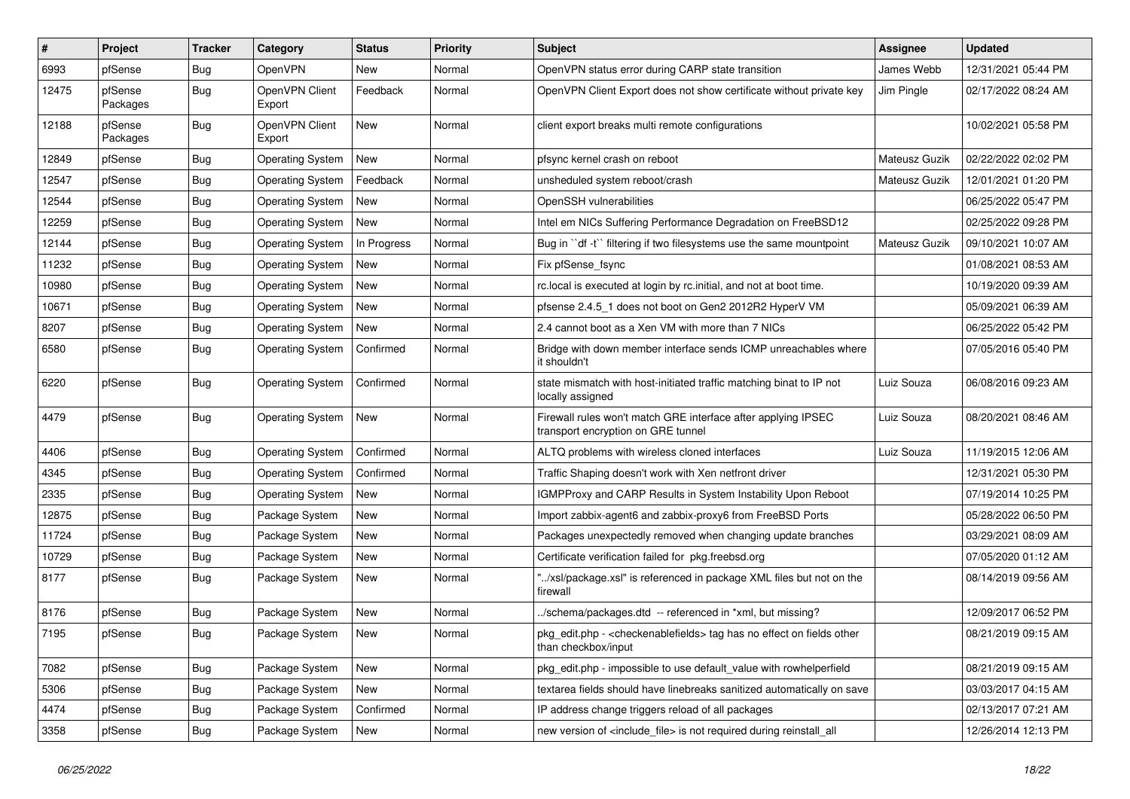| #     | Project             | <b>Tracker</b> | Category                 | <b>Status</b> | Priority | <b>Subject</b>                                                                                                   | <b>Assignee</b> | <b>Updated</b>      |
|-------|---------------------|----------------|--------------------------|---------------|----------|------------------------------------------------------------------------------------------------------------------|-----------------|---------------------|
| 6993  | pfSense             | Bug            | <b>OpenVPN</b>           | New           | Normal   | OpenVPN status error during CARP state transition                                                                | James Webb      | 12/31/2021 05:44 PM |
| 12475 | pfSense<br>Packages | <b>Bug</b>     | OpenVPN Client<br>Export | Feedback      | Normal   | OpenVPN Client Export does not show certificate without private key                                              | Jim Pingle      | 02/17/2022 08:24 AM |
| 12188 | pfSense<br>Packages | <b>Bug</b>     | OpenVPN Client<br>Export | <b>New</b>    | Normal   | client export breaks multi remote configurations                                                                 |                 | 10/02/2021 05:58 PM |
| 12849 | pfSense             | Bug            | <b>Operating System</b>  | New           | Normal   | pfsync kernel crash on reboot                                                                                    | Mateusz Guzik   | 02/22/2022 02:02 PM |
| 12547 | pfSense             | <b>Bug</b>     | <b>Operating System</b>  | Feedback      | Normal   | unsheduled system reboot/crash                                                                                   | Mateusz Guzik   | 12/01/2021 01:20 PM |
| 12544 | pfSense             | <b>Bug</b>     | <b>Operating System</b>  | New           | Normal   | OpenSSH vulnerabilities                                                                                          |                 | 06/25/2022 05:47 PM |
| 12259 | pfSense             | <b>Bug</b>     | <b>Operating System</b>  | New           | Normal   | Intel em NICs Suffering Performance Degradation on FreeBSD12                                                     |                 | 02/25/2022 09:28 PM |
| 12144 | pfSense             | <b>Bug</b>     | <b>Operating System</b>  | In Progress   | Normal   | Bug in "df -t" filtering if two filesystems use the same mountpoint                                              | Mateusz Guzik   | 09/10/2021 10:07 AM |
| 11232 | pfSense             | <b>Bug</b>     | <b>Operating System</b>  | New           | Normal   | Fix pfSense fsync                                                                                                |                 | 01/08/2021 08:53 AM |
| 10980 | pfSense             | <b>Bug</b>     | <b>Operating System</b>  | <b>New</b>    | Normal   | rc.local is executed at login by rc.initial, and not at boot time.                                               |                 | 10/19/2020 09:39 AM |
| 10671 | pfSense             | <b>Bug</b>     | <b>Operating System</b>  | <b>New</b>    | Normal   | pfsense 2.4.5_1 does not boot on Gen2 2012R2 HyperV VM                                                           |                 | 05/09/2021 06:39 AM |
| 8207  | pfSense             | <b>Bug</b>     | <b>Operating System</b>  | <b>New</b>    | Normal   | 2.4 cannot boot as a Xen VM with more than 7 NICs                                                                |                 | 06/25/2022 05:42 PM |
| 6580  | pfSense             | Bug            | <b>Operating System</b>  | Confirmed     | Normal   | Bridge with down member interface sends ICMP unreachables where<br>it shouldn't                                  |                 | 07/05/2016 05:40 PM |
| 6220  | pfSense             | <b>Bug</b>     | <b>Operating System</b>  | Confirmed     | Normal   | state mismatch with host-initiated traffic matching binat to IP not<br>locally assigned                          | Luiz Souza      | 06/08/2016 09:23 AM |
| 4479  | pfSense             | <b>Bug</b>     | <b>Operating System</b>  | New           | Normal   | Firewall rules won't match GRE interface after applying IPSEC<br>transport encryption on GRE tunnel              | Luiz Souza      | 08/20/2021 08:46 AM |
| 4406  | pfSense             | <b>Bug</b>     | Operating System         | Confirmed     | Normal   | ALTQ problems with wireless cloned interfaces                                                                    | Luiz Souza      | 11/19/2015 12:06 AM |
| 4345  | pfSense             | <b>Bug</b>     | <b>Operating System</b>  | Confirmed     | Normal   | Traffic Shaping doesn't work with Xen netfront driver                                                            |                 | 12/31/2021 05:30 PM |
| 2335  | pfSense             | <b>Bug</b>     | <b>Operating System</b>  | New           | Normal   | IGMPProxy and CARP Results in System Instability Upon Reboot                                                     |                 | 07/19/2014 10:25 PM |
| 12875 | pfSense             | <b>Bug</b>     | Package System           | New           | Normal   | Import zabbix-agent6 and zabbix-proxy6 from FreeBSD Ports                                                        |                 | 05/28/2022 06:50 PM |
| 11724 | pfSense             | <b>Bug</b>     | Package System           | New           | Normal   | Packages unexpectedly removed when changing update branches                                                      |                 | 03/29/2021 08:09 AM |
| 10729 | pfSense             | <b>Bug</b>     | Package System           | New           | Normal   | Certificate verification failed for pkg.freebsd.org                                                              |                 | 07/05/2020 01:12 AM |
| 8177  | pfSense             | Bug            | Package System           | New           | Normal   | "/xsl/package.xsl" is referenced in package XML files but not on the<br>firewall                                 |                 | 08/14/2019 09:56 AM |
| 8176  | pfSense             | <b>Bug</b>     | Package System           | <b>New</b>    | Normal   | ./schema/packages.dtd -- referenced in *xml, but missing?                                                        |                 | 12/09/2017 06:52 PM |
| 7195  | pfSense             | Bug            | Package System           | New           | Normal   | pkg_edit.php - <checkenablefields> tag has no effect on fields other<br/>than checkbox/input</checkenablefields> |                 | 08/21/2019 09:15 AM |
| 7082  | pfSense             | <b>Bug</b>     | Package System           | New           | Normal   | pkg_edit.php - impossible to use default_value with rowhelperfield                                               |                 | 08/21/2019 09:15 AM |
| 5306  | pfSense             | <b>Bug</b>     | Package System           | New           | Normal   | textarea fields should have linebreaks sanitized automatically on save                                           |                 | 03/03/2017 04:15 AM |
| 4474  | pfSense             | <b>Bug</b>     | Package System           | Confirmed     | Normal   | IP address change triggers reload of all packages                                                                |                 | 02/13/2017 07:21 AM |
| 3358  | pfSense             | <b>Bug</b>     | Package System           | New           | Normal   | new version of <include_file> is not required during reinstall_all</include_file>                                |                 | 12/26/2014 12:13 PM |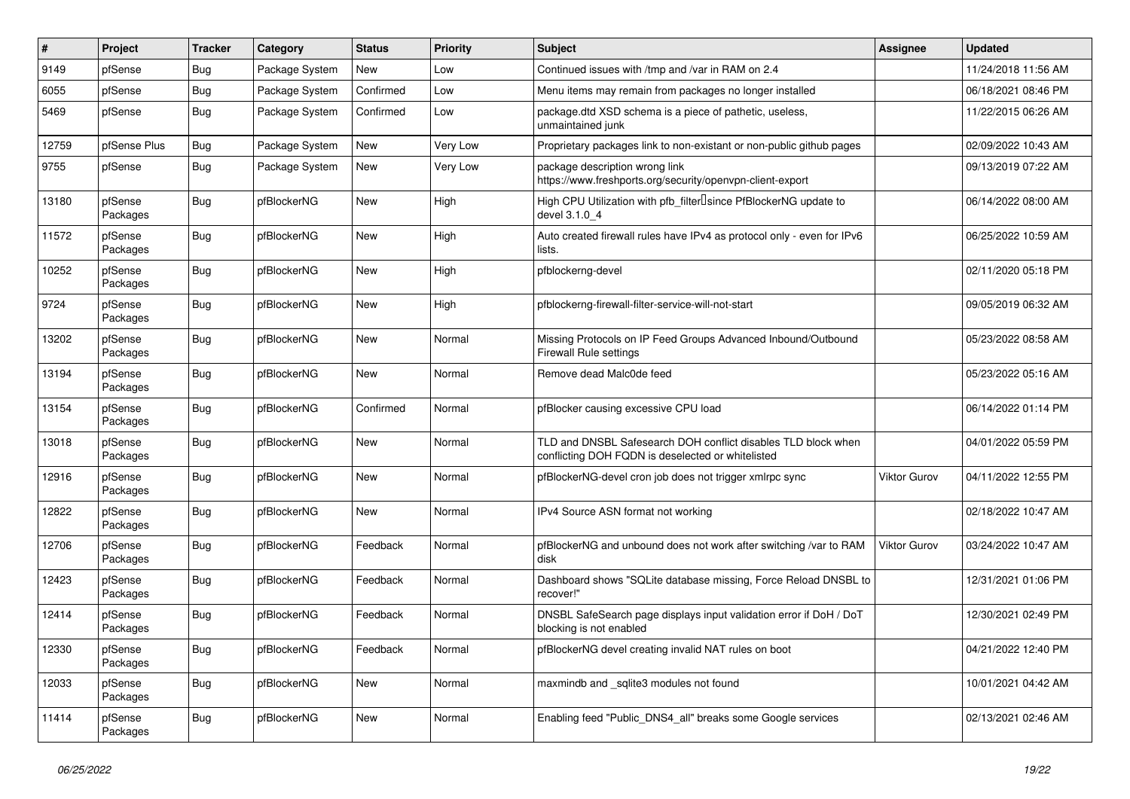| #     | Project             | <b>Tracker</b> | Category       | <b>Status</b> | <b>Priority</b> | <b>Subject</b>                                                                                                     | <b>Assignee</b>     | <b>Updated</b>      |
|-------|---------------------|----------------|----------------|---------------|-----------------|--------------------------------------------------------------------------------------------------------------------|---------------------|---------------------|
| 9149  | pfSense             | <b>Bug</b>     | Package System | New           | Low             | Continued issues with /tmp and /var in RAM on 2.4                                                                  |                     | 11/24/2018 11:56 AM |
| 6055  | pfSense             | <b>Bug</b>     | Package System | Confirmed     | Low             | Menu items may remain from packages no longer installed                                                            |                     | 06/18/2021 08:46 PM |
| 5469  | pfSense             | <b>Bug</b>     | Package System | Confirmed     | Low             | package.dtd XSD schema is a piece of pathetic, useless,<br>unmaintained junk                                       |                     | 11/22/2015 06:26 AM |
| 12759 | pfSense Plus        | <b>Bug</b>     | Package System | <b>New</b>    | Very Low        | Proprietary packages link to non-existant or non-public github pages                                               |                     | 02/09/2022 10:43 AM |
| 9755  | pfSense             | <b>Bug</b>     | Package System | New           | Very Low        | package description wrong link<br>https://www.freshports.org/security/openvpn-client-export                        |                     | 09/13/2019 07:22 AM |
| 13180 | pfSense<br>Packages | <b>Bug</b>     | pfBlockerNG    | <b>New</b>    | High            | High CPU Utilization with pfb filter Isince PfBlockerNG update to<br>devel 3.1.0 4                                 |                     | 06/14/2022 08:00 AM |
| 11572 | pfSense<br>Packages | <b>Bug</b>     | pfBlockerNG    | <b>New</b>    | High            | Auto created firewall rules have IPv4 as protocol only - even for IPv6<br>lists.                                   |                     | 06/25/2022 10:59 AM |
| 10252 | pfSense<br>Packages | <b>Bug</b>     | pfBlockerNG    | <b>New</b>    | High            | pfblockerng-devel                                                                                                  |                     | 02/11/2020 05:18 PM |
| 9724  | pfSense<br>Packages | <b>Bug</b>     | pfBlockerNG    | <b>New</b>    | High            | pfblockerng-firewall-filter-service-will-not-start                                                                 |                     | 09/05/2019 06:32 AM |
| 13202 | pfSense<br>Packages | <b>Bug</b>     | pfBlockerNG    | <b>New</b>    | Normal          | Missing Protocols on IP Feed Groups Advanced Inbound/Outbound<br><b>Firewall Rule settings</b>                     |                     | 05/23/2022 08:58 AM |
| 13194 | pfSense<br>Packages | <b>Bug</b>     | pfBlockerNG    | New           | Normal          | Remove dead Malc0de feed                                                                                           |                     | 05/23/2022 05:16 AM |
| 13154 | pfSense<br>Packages | <b>Bug</b>     | pfBlockerNG    | Confirmed     | Normal          | pfBlocker causing excessive CPU load                                                                               |                     | 06/14/2022 01:14 PM |
| 13018 | pfSense<br>Packages | <b>Bug</b>     | pfBlockerNG    | <b>New</b>    | Normal          | TLD and DNSBL Safesearch DOH conflict disables TLD block when<br>conflicting DOH FQDN is deselected or whitelisted |                     | 04/01/2022 05:59 PM |
| 12916 | pfSense<br>Packages | <b>Bug</b>     | pfBlockerNG    | <b>New</b>    | Normal          | pfBlockerNG-devel cron job does not trigger xmlrpc sync                                                            | Viktor Gurov        | 04/11/2022 12:55 PM |
| 12822 | pfSense<br>Packages | <b>Bug</b>     | pfBlockerNG    | New           | Normal          | IPv4 Source ASN format not working                                                                                 |                     | 02/18/2022 10:47 AM |
| 12706 | pfSense<br>Packages | <b>Bug</b>     | pfBlockerNG    | Feedback      | Normal          | pfBlockerNG and unbound does not work after switching /var to RAM<br>disk                                          | <b>Viktor Gurov</b> | 03/24/2022 10:47 AM |
| 12423 | pfSense<br>Packages | <b>Bug</b>     | pfBlockerNG    | Feedback      | Normal          | Dashboard shows "SQLite database missing, Force Reload DNSBL to<br>recover!"                                       |                     | 12/31/2021 01:06 PM |
| 12414 | pfSense<br>Packages | <b>Bug</b>     | pfBlockerNG    | Feedback      | Normal          | DNSBL SafeSearch page displays input validation error if DoH / DoT<br>blocking is not enabled                      |                     | 12/30/2021 02:49 PM |
| 12330 | pfSense<br>Packages | <b>Bug</b>     | pfBlockerNG    | Feedback      | Normal          | pfBlockerNG devel creating invalid NAT rules on boot                                                               |                     | 04/21/2022 12:40 PM |
| 12033 | pfSense<br>Packages | <b>Bug</b>     | pfBlockerNG    | New           | Normal          | maxmindb and _sqlite3 modules not found                                                                            |                     | 10/01/2021 04:42 AM |
| 11414 | pfSense<br>Packages | Bug            | pfBlockerNG    | New           | Normal          | Enabling feed "Public DNS4 all" breaks some Google services                                                        |                     | 02/13/2021 02:46 AM |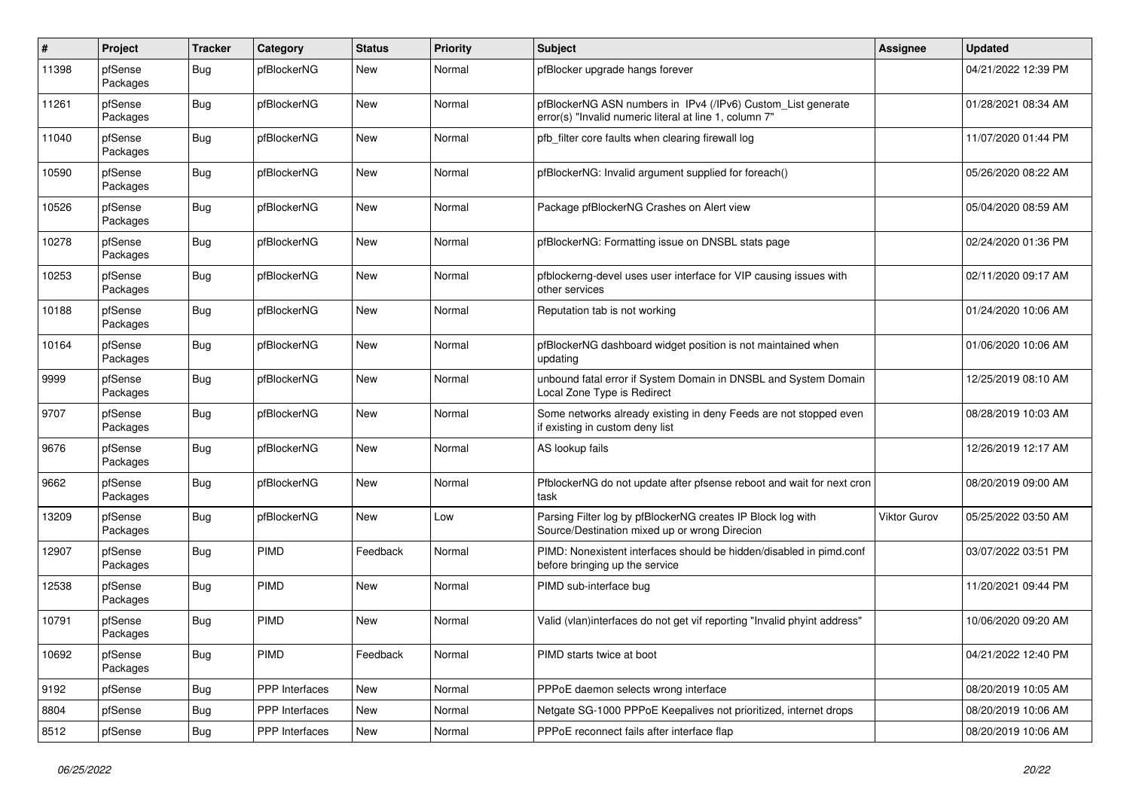| $\pmb{\#}$ | Project             | <b>Tracker</b> | Category       | <b>Status</b> | <b>Priority</b> | Subject                                                                                                                | <b>Assignee</b> | <b>Updated</b>      |
|------------|---------------------|----------------|----------------|---------------|-----------------|------------------------------------------------------------------------------------------------------------------------|-----------------|---------------------|
| 11398      | pfSense<br>Packages | <b>Bug</b>     | pfBlockerNG    | New           | Normal          | pfBlocker upgrade hangs forever                                                                                        |                 | 04/21/2022 12:39 PM |
| 11261      | pfSense<br>Packages | <b>Bug</b>     | pfBlockerNG    | New           | Normal          | pfBlockerNG ASN numbers in IPv4 (/IPv6) Custom_List generate<br>error(s) "Invalid numeric literal at line 1, column 7" |                 | 01/28/2021 08:34 AM |
| 11040      | pfSense<br>Packages | <b>Bug</b>     | pfBlockerNG    | <b>New</b>    | Normal          | pfb_filter core faults when clearing firewall log                                                                      |                 | 11/07/2020 01:44 PM |
| 10590      | pfSense<br>Packages | <b>Bug</b>     | pfBlockerNG    | New           | Normal          | pfBlockerNG: Invalid argument supplied for foreach()                                                                   |                 | 05/26/2020 08:22 AM |
| 10526      | pfSense<br>Packages | <b>Bug</b>     | pfBlockerNG    | New           | Normal          | Package pfBlockerNG Crashes on Alert view                                                                              |                 | 05/04/2020 08:59 AM |
| 10278      | pfSense<br>Packages | Bug            | pfBlockerNG    | New           | Normal          | pfBlockerNG: Formatting issue on DNSBL stats page                                                                      |                 | 02/24/2020 01:36 PM |
| 10253      | pfSense<br>Packages | <b>Bug</b>     | pfBlockerNG    | <b>New</b>    | Normal          | pfblockerng-devel uses user interface for VIP causing issues with<br>other services                                    |                 | 02/11/2020 09:17 AM |
| 10188      | pfSense<br>Packages | <b>Bug</b>     | pfBlockerNG    | New           | Normal          | Reputation tab is not working                                                                                          |                 | 01/24/2020 10:06 AM |
| 10164      | pfSense<br>Packages | <b>Bug</b>     | pfBlockerNG    | <b>New</b>    | Normal          | pfBlockerNG dashboard widget position is not maintained when<br>updating                                               |                 | 01/06/2020 10:06 AM |
| 9999       | pfSense<br>Packages | <b>Bug</b>     | pfBlockerNG    | <b>New</b>    | Normal          | unbound fatal error if System Domain in DNSBL and System Domain<br>Local Zone Type is Redirect                         |                 | 12/25/2019 08:10 AM |
| 9707       | pfSense<br>Packages | <b>Bug</b>     | pfBlockerNG    | <b>New</b>    | Normal          | Some networks already existing in deny Feeds are not stopped even<br>if existing in custom deny list                   |                 | 08/28/2019 10:03 AM |
| 9676       | pfSense<br>Packages | <b>Bug</b>     | pfBlockerNG    | New           | Normal          | AS lookup fails                                                                                                        |                 | 12/26/2019 12:17 AM |
| 9662       | pfSense<br>Packages | Bug            | pfBlockerNG    | New           | Normal          | PfblockerNG do not update after pfsense reboot and wait for next cron<br>task                                          |                 | 08/20/2019 09:00 AM |
| 13209      | pfSense<br>Packages | <b>Bug</b>     | pfBlockerNG    | New           | Low             | Parsing Filter log by pfBlockerNG creates IP Block log with<br>Source/Destination mixed up or wrong Direcion           | Viktor Gurov    | 05/25/2022 03:50 AM |
| 12907      | pfSense<br>Packages | <b>Bug</b>     | <b>PIMD</b>    | Feedback      | Normal          | PIMD: Nonexistent interfaces should be hidden/disabled in pimd.conf<br>before bringing up the service                  |                 | 03/07/2022 03:51 PM |
| 12538      | pfSense<br>Packages | <b>Bug</b>     | PIMD           | New           | Normal          | PIMD sub-interface bug                                                                                                 |                 | 11/20/2021 09:44 PM |
| 10791      | pfSense<br>Packages | <b>Bug</b>     | PIMD           | New           | Normal          | Valid (vlan)interfaces do not get vif reporting "Invalid phyint address"                                               |                 | 10/06/2020 09:20 AM |
| 10692      | pfSense<br>Packages | <b>Bug</b>     | PIMD           | Feedback      | Normal          | PIMD starts twice at boot                                                                                              |                 | 04/21/2022 12:40 PM |
| 9192       | pfSense             | <b>Bug</b>     | PPP Interfaces | New           | Normal          | PPPoE daemon selects wrong interface                                                                                   |                 | 08/20/2019 10:05 AM |
| 8804       | pfSense             | <b>Bug</b>     | PPP Interfaces | New           | Normal          | Netgate SG-1000 PPPoE Keepalives not prioritized, internet drops                                                       |                 | 08/20/2019 10:06 AM |
| 8512       | pfSense             | <b>Bug</b>     | PPP Interfaces | New           | Normal          | PPPoE reconnect fails after interface flap                                                                             |                 | 08/20/2019 10:06 AM |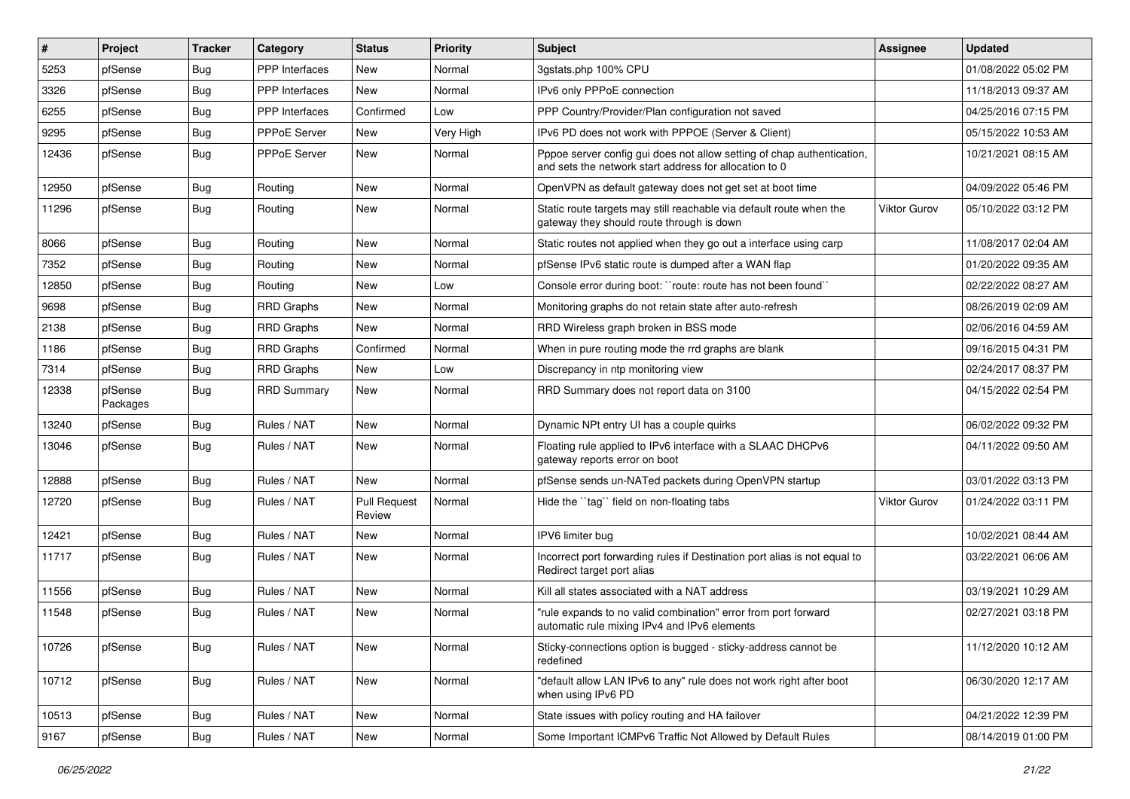| $\vert$ # | Project             | <b>Tracker</b> | Category              | <b>Status</b>                 | <b>Priority</b> | <b>Subject</b>                                                                                                                   | <b>Assignee</b>     | <b>Updated</b>      |
|-----------|---------------------|----------------|-----------------------|-------------------------------|-----------------|----------------------------------------------------------------------------------------------------------------------------------|---------------------|---------------------|
| 5253      | pfSense             | <b>Bug</b>     | <b>PPP</b> Interfaces | New                           | Normal          | 3gstats.php 100% CPU                                                                                                             |                     | 01/08/2022 05:02 PM |
| 3326      | pfSense             | <b>Bug</b>     | <b>PPP</b> Interfaces | <b>New</b>                    | Normal          | IPv6 only PPPoE connection                                                                                                       |                     | 11/18/2013 09:37 AM |
| 6255      | pfSense             | <b>Bug</b>     | <b>PPP</b> Interfaces | Confirmed                     | Low             | PPP Country/Provider/Plan configuration not saved                                                                                |                     | 04/25/2016 07:15 PM |
| 9295      | pfSense             | <b>Bug</b>     | PPPoE Server          | New                           | Very High       | IPv6 PD does not work with PPPOE (Server & Client)                                                                               |                     | 05/15/2022 10:53 AM |
| 12436     | pfSense             | <b>Bug</b>     | PPPoE Server          | <b>New</b>                    | Normal          | Pppoe server config gui does not allow setting of chap authentication,<br>and sets the network start address for allocation to 0 |                     | 10/21/2021 08:15 AM |
| 12950     | pfSense             | <b>Bug</b>     | Routing               | <b>New</b>                    | Normal          | OpenVPN as default gateway does not get set at boot time                                                                         |                     | 04/09/2022 05:46 PM |
| 11296     | pfSense             | Bug            | Routing               | <b>New</b>                    | Normal          | Static route targets may still reachable via default route when the<br>gateway they should route through is down                 | <b>Viktor Gurov</b> | 05/10/2022 03:12 PM |
| 8066      | pfSense             | <b>Bug</b>     | Routing               | <b>New</b>                    | Normal          | Static routes not applied when they go out a interface using carp                                                                |                     | 11/08/2017 02:04 AM |
| 7352      | pfSense             | <b>Bug</b>     | Routing               | <b>New</b>                    | Normal          | pfSense IPv6 static route is dumped after a WAN flap                                                                             |                     | 01/20/2022 09:35 AM |
| 12850     | pfSense             | <b>Bug</b>     | Routing               | <b>New</b>                    | Low             | Console error during boot: "route: route has not been found"                                                                     |                     | 02/22/2022 08:27 AM |
| 9698      | pfSense             | Bug            | <b>RRD Graphs</b>     | <b>New</b>                    | Normal          | Monitoring graphs do not retain state after auto-refresh                                                                         |                     | 08/26/2019 02:09 AM |
| 2138      | pfSense             | <b>Bug</b>     | <b>RRD Graphs</b>     | New                           | Normal          | RRD Wireless graph broken in BSS mode                                                                                            |                     | 02/06/2016 04:59 AM |
| 1186      | pfSense             | <b>Bug</b>     | <b>RRD Graphs</b>     | Confirmed                     | Normal          | When in pure routing mode the rrd graphs are blank                                                                               |                     | 09/16/2015 04:31 PM |
| 7314      | pfSense             | <b>Bug</b>     | <b>RRD Graphs</b>     | <b>New</b>                    | Low             | Discrepancy in ntp monitoring view                                                                                               |                     | 02/24/2017 08:37 PM |
| 12338     | pfSense<br>Packages | <b>Bug</b>     | <b>RRD Summary</b>    | <b>New</b>                    | Normal          | RRD Summary does not report data on 3100                                                                                         |                     | 04/15/2022 02:54 PM |
| 13240     | pfSense             | <b>Bug</b>     | Rules / NAT           | New                           | Normal          | Dynamic NPt entry UI has a couple quirks                                                                                         |                     | 06/02/2022 09:32 PM |
| 13046     | pfSense             | <b>Bug</b>     | Rules / NAT           | New                           | Normal          | Floating rule applied to IPv6 interface with a SLAAC DHCPv6<br>gateway reports error on boot                                     |                     | 04/11/2022 09:50 AM |
| 12888     | pfSense             | <b>Bug</b>     | Rules / NAT           | <b>New</b>                    | Normal          | pfSense sends un-NATed packets during OpenVPN startup                                                                            |                     | 03/01/2022 03:13 PM |
| 12720     | pfSense             | <b>Bug</b>     | Rules / NAT           | <b>Pull Request</b><br>Review | Normal          | Hide the "tag" field on non-floating tabs                                                                                        | Viktor Gurov        | 01/24/2022 03:11 PM |
| 12421     | pfSense             | <b>Bug</b>     | Rules / NAT           | <b>New</b>                    | Normal          | IPV6 limiter bug                                                                                                                 |                     | 10/02/2021 08:44 AM |
| 11717     | pfSense             | <b>Bug</b>     | Rules / NAT           | <b>New</b>                    | Normal          | Incorrect port forwarding rules if Destination port alias is not equal to<br>Redirect target port alias                          |                     | 03/22/2021 06:06 AM |
| 11556     | pfSense             | <b>Bug</b>     | Rules / NAT           | <b>New</b>                    | Normal          | Kill all states associated with a NAT address                                                                                    |                     | 03/19/2021 10:29 AM |
| 11548     | pfSense             | <b>Bug</b>     | Rules / NAT           | <b>New</b>                    | Normal          | "rule expands to no valid combination" error from port forward<br>automatic rule mixing IPv4 and IPv6 elements                   |                     | 02/27/2021 03:18 PM |
| 10726     | pfSense             | <b>Bug</b>     | Rules / NAT           | New                           | Normal          | Sticky-connections option is bugged - sticky-address cannot be<br>redefined                                                      |                     | 11/12/2020 10:12 AM |
| 10712     | pfSense             | <b>Bug</b>     | Rules / NAT           | New                           | Normal          | "default allow LAN IPv6 to any" rule does not work right after boot<br>when using IPv6 PD                                        |                     | 06/30/2020 12:17 AM |
| 10513     | pfSense             | <b>Bug</b>     | Rules / NAT           | New                           | Normal          | State issues with policy routing and HA failover                                                                                 |                     | 04/21/2022 12:39 PM |
| 9167      | pfSense             | <b>Bug</b>     | Rules / NAT           | New                           | Normal          | Some Important ICMPv6 Traffic Not Allowed by Default Rules                                                                       |                     | 08/14/2019 01:00 PM |